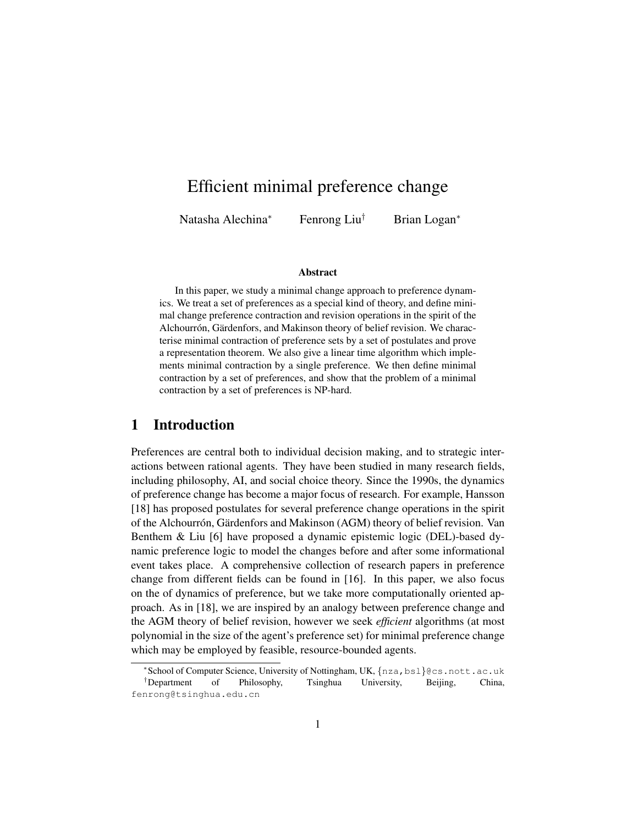# Efficient minimal preference change

Natasha Alechina<sup>∗</sup> Fenrong Liu† Brian Logan<sup>∗</sup>

#### **Abstract**

In this paper, we study a minimal change approach to preference dynamics. We treat a set of preferences as a special kind of theory, and define minimal change preference contraction and revision operations in the spirit of the Alchourrón, Gärdenfors, and Makinson theory of belief revision. We characterise minimal contraction of preference sets by a set of postulates and prove a representation theorem. We also give a linear time algorithm which implements minimal contraction by a single preference. We then define minimal contraction by a set of preferences, and show that the problem of a minimal contraction by a set of preferences is NP-hard.

# 1 Introduction

Preferences are central both to individual decision making, and to strategic interactions between rational agents. They have been studied in many research fields, including philosophy, AI, and social choice theory. Since the 1990s, the dynamics of preference change has become a major focus of research. For example, Hansson [18] has proposed postulates for several preference change operations in the spirit of the Alchourrón, Gärdenfors and Makinson (AGM) theory of belief revision. Van Benthem & Liu [6] have proposed a dynamic epistemic logic (DEL)-based dynamic preference logic to model the changes before and after some informational event takes place. A comprehensive collection of research papers in preference change from different fields can be found in [16]. In this paper, we also focus on the of dynamics of preference, but we take more computationally oriented approach. As in [18], we are inspired by an analogy between preference change and the AGM theory of belief revision, however we seek *efficient* algorithms (at most polynomial in the size of the agent's preference set) for minimal preference change which may be employed by feasible, resource-bounded agents.

<sup>∗</sup> School of Computer Science, University of Nottingham, UK, {nza,bsl}@cs.nott.ac.uk †Department of Philosophy, Tsinghua University, Beijing, China, fenrong@tsinghua.edu.cn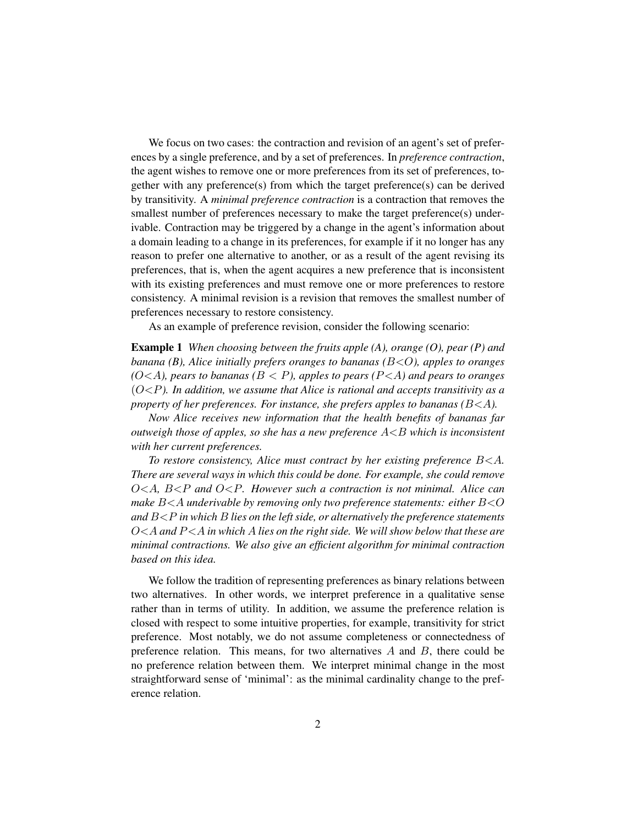We focus on two cases: the contraction and revision of an agent's set of preferences by a single preference, and by a set of preferences. In *preference contraction*, the agent wishes to remove one or more preferences from its set of preferences, together with any preference(s) from which the target preference(s) can be derived by transitivity. A *minimal preference contraction* is a contraction that removes the smallest number of preferences necessary to make the target preference(s) underivable. Contraction may be triggered by a change in the agent's information about a domain leading to a change in its preferences, for example if it no longer has any reason to prefer one alternative to another, or as a result of the agent revising its preferences, that is, when the agent acquires a new preference that is inconsistent with its existing preferences and must remove one or more preferences to restore consistency. A minimal revision is a revision that removes the smallest number of preferences necessary to restore consistency.

As an example of preference revision, consider the following scenario:

Example 1 *When choosing between the fruits apple (A), orange (O), pear (P) and banana (B), Alice initially prefers oranges to bananas (*B<O*), apples to oranges*  $(O < A)$ , pears to bananas ( $B < P$ ), apples to pears ( $P < A$ ) and pears to oranges (O<P*). In addition, we assume that Alice is rational and accepts transitivity as a property of her preferences. For instance, she prefers apples to bananas (* $B < A$ *).* 

*Now Alice receives new information that the health benefits of bananas far outweigh those of apples, so she has a new preference*  $A \leq B$  *which is inconsistent with her current preferences.*

*To restore consistency, Alice must contract by her existing preference* B<A*. There are several ways in which this could be done. For example, she could remove* O<A*,* B<P *and* O<P*. However such a contraction is not minimal. Alice can make* B<A *underivable by removing only two preference statements: either* B<O *and* B<P *in which* B *lies on the left side, or alternatively the preference statements* O<A *and* P <A *in which* A *lies on the right side. We will show below that these are minimal contractions. We also give an efficient algorithm for minimal contraction based on this idea.*

We follow the tradition of representing preferences as binary relations between two alternatives. In other words, we interpret preference in a qualitative sense rather than in terms of utility. In addition, we assume the preference relation is closed with respect to some intuitive properties, for example, transitivity for strict preference. Most notably, we do not assume completeness or connectedness of preference relation. This means, for two alternatives  $A$  and  $B$ , there could be no preference relation between them. We interpret minimal change in the most straightforward sense of 'minimal': as the minimal cardinality change to the preference relation.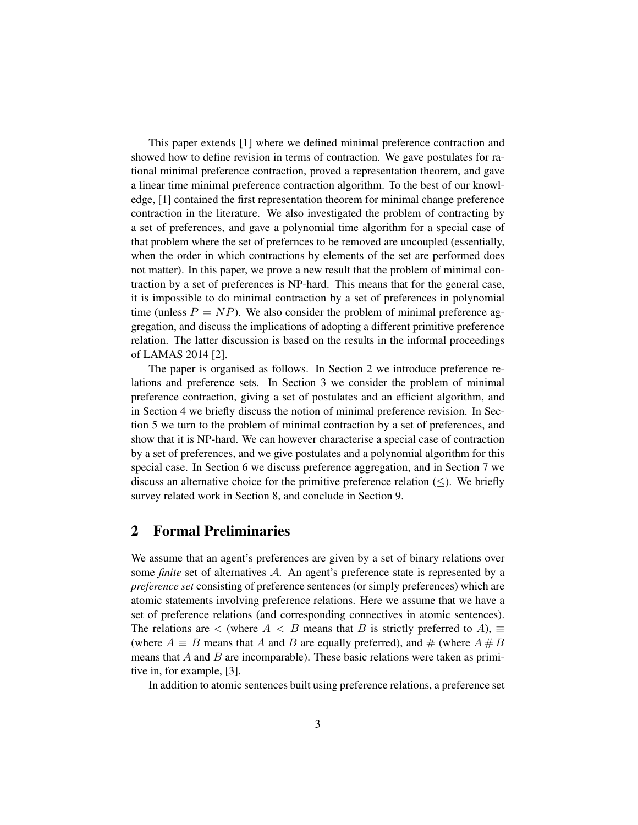This paper extends [1] where we defined minimal preference contraction and showed how to define revision in terms of contraction. We gave postulates for rational minimal preference contraction, proved a representation theorem, and gave a linear time minimal preference contraction algorithm. To the best of our knowledge, [1] contained the first representation theorem for minimal change preference contraction in the literature. We also investigated the problem of contracting by a set of preferences, and gave a polynomial time algorithm for a special case of that problem where the set of prefernces to be removed are uncoupled (essentially, when the order in which contractions by elements of the set are performed does not matter). In this paper, we prove a new result that the problem of minimal contraction by a set of preferences is NP-hard. This means that for the general case, it is impossible to do minimal contraction by a set of preferences in polynomial time (unless  $P = NP$ ). We also consider the problem of minimal preference aggregation, and discuss the implications of adopting a different primitive preference relation. The latter discussion is based on the results in the informal proceedings of LAMAS 2014 [2].

The paper is organised as follows. In Section 2 we introduce preference relations and preference sets. In Section 3 we consider the problem of minimal preference contraction, giving a set of postulates and an efficient algorithm, and in Section 4 we briefly discuss the notion of minimal preference revision. In Section 5 we turn to the problem of minimal contraction by a set of preferences, and show that it is NP-hard. We can however characterise a special case of contraction by a set of preferences, and we give postulates and a polynomial algorithm for this special case. In Section 6 we discuss preference aggregation, and in Section 7 we discuss an alternative choice for the primitive preference relation  $(\le)$ . We briefly survey related work in Section 8, and conclude in Section 9.

### 2 Formal Preliminaries

We assume that an agent's preferences are given by a set of binary relations over some *finite* set of alternatives A. An agent's preference state is represented by a *preference set* consisting of preference sentences (or simply preferences) which are atomic statements involving preference relations. Here we assume that we have a set of preference relations (and corresponding connectives in atomic sentences). The relations are  $\lt$  (where  $A \lt B$  means that B is strictly preferred to A),  $\equiv$ (where  $A \equiv B$  means that A and B are equally preferred), and  $\#$  (where  $A \# B$ means that  $A$  and  $B$  are incomparable). These basic relations were taken as primitive in, for example, [3].

In addition to atomic sentences built using preference relations, a preference set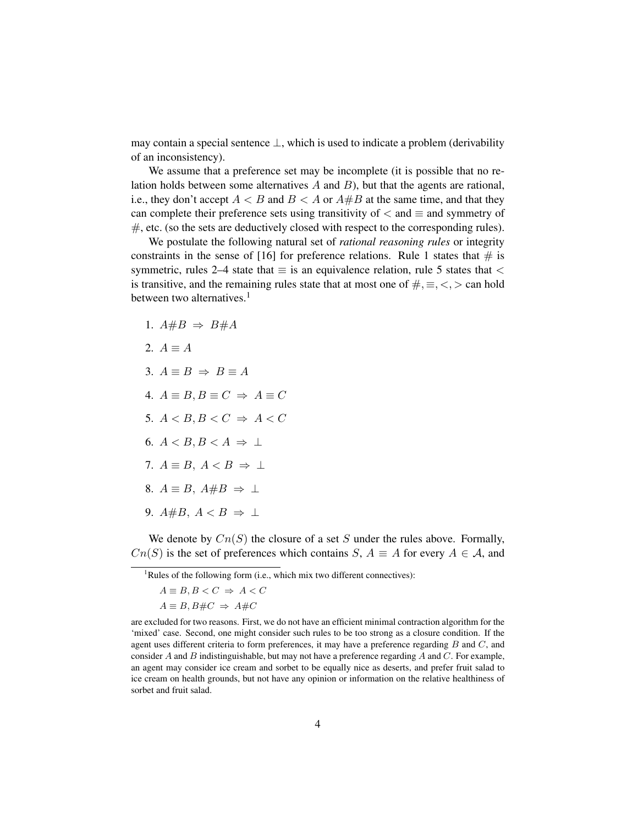may contain a special sentence ⊥, which is used to indicate a problem (derivability of an inconsistency).

We assume that a preference set may be incomplete (it is possible that no relation holds between some alternatives  $A$  and  $B$ ), but that the agents are rational, i.e., they don't accept  $A < B$  and  $B < A$  or  $A \# B$  at the same time, and that they can complete their preference sets using transitivity of  $\lt$  and  $\equiv$  and symmetry of  $#$ , etc. (so the sets are deductively closed with respect to the corresponding rules).

We postulate the following natural set of *rational reasoning rules* or integrity constraints in the sense of [16] for preference relations. Rule 1 states that  $\#$  is symmetric, rules 2–4 state that  $\equiv$  is an equivalence relation, rule 5 states that  $\lt$ is transitive, and the remaining rules state that at most one of  $\#$ ,  $\equiv$ ,  $\lt$ ,  $>$  can hold between two alternatives.<sup>1</sup>

1.  $A\#B \Rightarrow B\#A$ 2.  $A \equiv A$ 3.  $A \equiv B \Rightarrow B \equiv A$ 4.  $A \equiv B, B \equiv C \Rightarrow A \equiv C$ 5.  $A < B, B < C \Rightarrow A < C$ 6.  $A < B, B < A \Rightarrow \perp$ 7.  $A \equiv B$ ,  $A < B \Rightarrow \perp$ 8.  $A \equiv B$ ,  $A \# B \Rightarrow \perp$ 9.  $A\#B$ ,  $A < B \Rightarrow \perp$ 

We denote by  $Cn(S)$  the closure of a set S under the rules above. Formally,  $Cn(S)$  is the set of preferences which contains S,  $A \equiv A$  for every  $A \in \mathcal{A}$ , and

<sup>&</sup>lt;sup>1</sup>Rules of the following form (i.e., which mix two different connectives):

 $A \equiv B, B < C \Rightarrow A < C$  $A \equiv B, B \# C \Rightarrow A \# C$ 

are excluded for two reasons. First, we do not have an efficient minimal contraction algorithm for the 'mixed' case. Second, one might consider such rules to be too strong as a closure condition. If the agent uses different criteria to form preferences, it may have a preference regarding  $B$  and  $C$ , and consider  $A$  and  $B$  indistinguishable, but may not have a preference regarding  $A$  and  $C$ . For example, an agent may consider ice cream and sorbet to be equally nice as deserts, and prefer fruit salad to ice cream on health grounds, but not have any opinion or information on the relative healthiness of sorbet and fruit salad.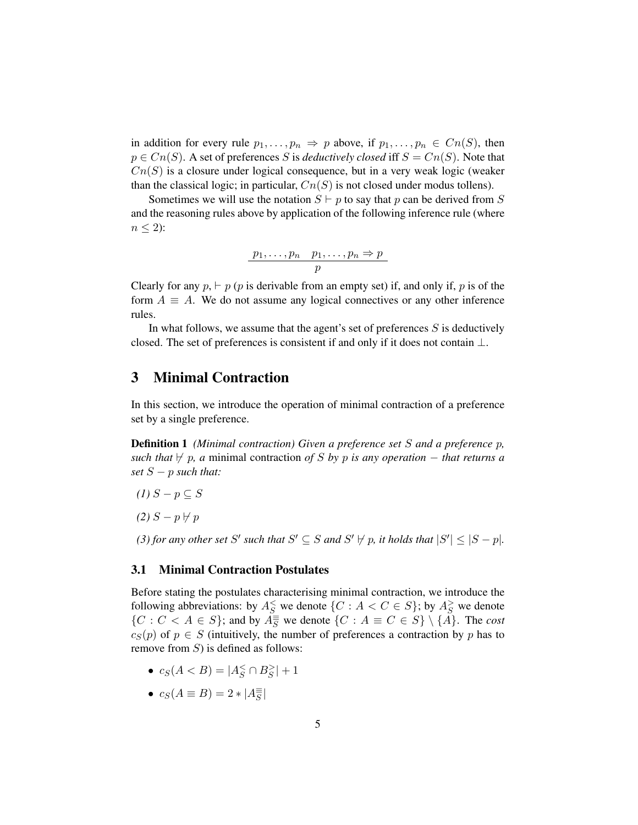in addition for every rule  $p_1, \ldots, p_n \Rightarrow p$  above, if  $p_1, \ldots, p_n \in C_n(S)$ , then  $p \in C_n(S)$ . A set of preferences S is *deductively closed* iff  $S = C_n(S)$ . Note that  $Cn(S)$  is a closure under logical consequence, but in a very weak logic (weaker than the classical logic; in particular,  $Cn(S)$  is not closed under modus tollens).

Sometimes we will use the notation  $S \vdash p$  to say that p can be derived from S and the reasoning rules above by application of the following inference rule (where  $n \leq 2$ :

$$
\frac{p_1, \ldots, p_n \quad p_1, \ldots, p_n \Rightarrow p}{p}
$$

Clearly for any  $p, \vdash p$  (p is derivable from an empty set) if, and only if, p is of the form  $A \equiv A$ . We do not assume any logical connectives or any other inference rules.

In what follows, we assume that the agent's set of preferences  $S$  is deductively closed. The set of preferences is consistent if and only if it does not contain  $\bot$ .

## 3 Minimal Contraction

In this section, we introduce the operation of minimal contraction of a preference set by a single preference.

Definition 1 *(Minimal contraction) Given a preference set* S *and a preference* p*, such that*  $\nvdash p$ , a minimal contraction of S by p is any operation – that returns a *set* S − p *such that:*

 $(I) S - p \subset S$ 

 $(2)$  *S* − *p*  $\forall$  *p* 

(3) for any other set S' such that  $S' \subseteq S$  and  $S' \nvdash p$ , it holds that  $|S'| \leq |S - p|$ .

#### 3.1 Minimal Contraction Postulates

Before stating the postulates characterising minimal contraction, we introduce the following abbreviations: by  $A_S^{\leq}$  we denote  $\{C : A < C \in S\}$ ; by  $A_S^{\geq}$  we denote  $\{C : C < A \in S\}$ ; and by  $A_{\overline{S}}^{\equiv}$  we denote  $\{C : A \equiv C \in S\} \setminus \{\overline{A}\}\$ . The *cost*  $c_S(p)$  of  $p \in S$  (intuitively, the number of preferences a contraction by p has to remove from  $S$ ) is defined as follows:

- $c_S(A < B) = |A_S^< \cap B_S^> | + 1$
- $c_S(A \equiv B) = 2 * |A_{\overline{S}}^{\equiv}|$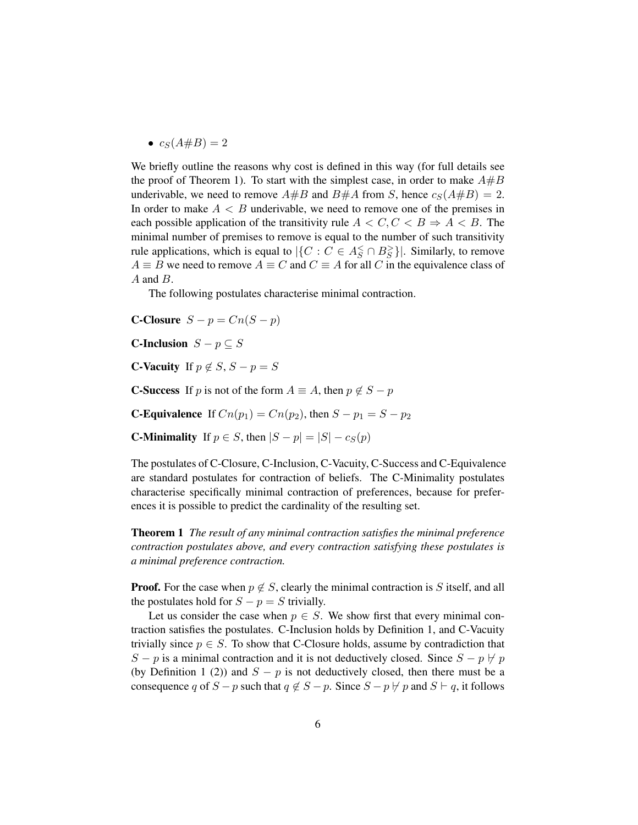•  $c_S(A \# B) = 2$ 

We briefly outline the reasons why cost is defined in this way (for full details see the proof of Theorem 1). To start with the simplest case, in order to make  $A \# B$ underivable, we need to remove  $A#B$  and  $B#A$  from S, hence  $c_S(A#B) = 2$ . In order to make  $A \leq B$  underivable, we need to remove one of the premises in each possible application of the transitivity rule  $A < C, C < B \Rightarrow A < B$ . The minimal number of premises to remove is equal to the number of such transitivity rule applications, which is equal to  $|\{C : C \in A_S^{\leq} \cap B_S^{\geq}\}|$ . Similarly, to remove  $A \equiv B$  we need to remove  $A \equiv C$  and  $C \equiv A$  for all C in the equivalence class of  $A$  and  $B$ .

The following postulates characterise minimal contraction.

C-Closure  $S - p = Cn(S - p)$ 

**C-Inclusion**  $S - p \subseteq S$ 

**C-Vacuity** If  $p \notin S$ ,  $S - p = S$ 

**C-Success** If p is not of the form  $A \equiv A$ , then  $p \notin S - p$ 

**C-Equivalence** If  $C_n(p_1) = C_n(p_2)$ , then  $S - p_1 = S - p_2$ 

**C-Minimality** If  $p \in S$ , then  $|S - p| = |S| - c_S(p)$ 

The postulates of C-Closure, C-Inclusion, C-Vacuity, C-Success and C-Equivalence are standard postulates for contraction of beliefs. The C-Minimality postulates characterise specifically minimal contraction of preferences, because for preferences it is possible to predict the cardinality of the resulting set.

Theorem 1 *The result of any minimal contraction satisfies the minimal preference contraction postulates above, and every contraction satisfying these postulates is a minimal preference contraction.*

**Proof.** For the case when  $p \notin S$ , clearly the minimal contraction is S itself, and all the postulates hold for  $S - p = S$  trivially.

Let us consider the case when  $p \in S$ . We show first that every minimal contraction satisfies the postulates. C-Inclusion holds by Definition 1, and C-Vacuity trivially since  $p \in S$ . To show that C-Closure holds, assume by contradiction that  $S - p$  is a minimal contraction and it is not deductively closed. Since  $S - p \nmid p$ (by Definition 1 (2)) and  $S - p$  is not deductively closed, then there must be a consequence q of  $S - p$  such that  $q \notin S - p$ . Since  $S - p \nleftrightarrow p$  and  $S \vdash q$ , it follows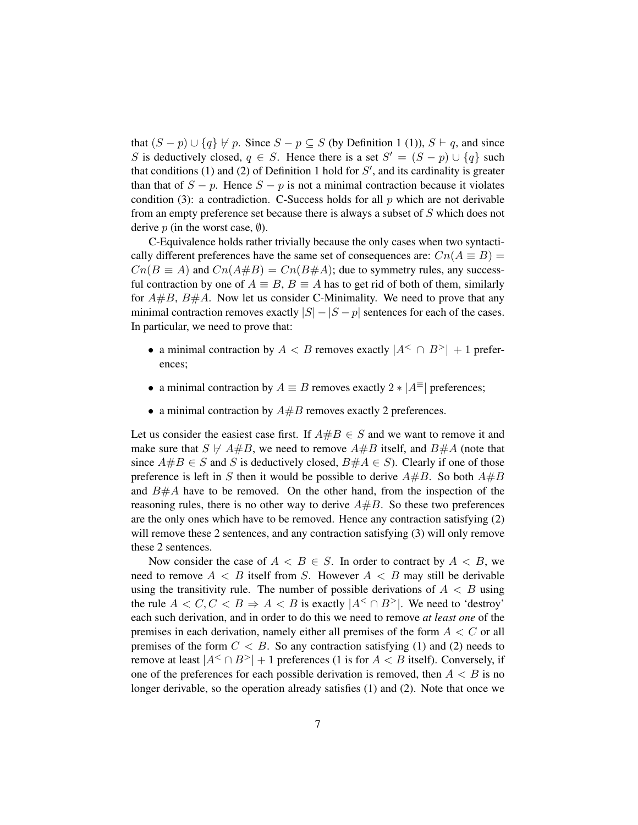that  $(S - p) \cup \{q\} \not\vdash p$ . Since  $S - p \subseteq S$  (by Definition 1 (1)),  $S \vdash q$ , and since S is deductively closed,  $q \in S$ . Hence there is a set  $S' = (S - p) \cup \{q\}$  such that conditions (1) and (2) of Definition 1 hold for  $S'$ , and its cardinality is greater than that of  $S - p$ . Hence  $S - p$  is not a minimal contraction because it violates condition (3): a contradiction. C-Success holds for all  $p$  which are not derivable from an empty preference set because there is always a subset of S which does not derive p (in the worst case,  $\emptyset$ ).

C-Equivalence holds rather trivially because the only cases when two syntactically different preferences have the same set of consequences are:  $Cn(A \equiv B)$  =  $Cn(B \equiv A)$  and  $Cn(A \# B) = Cn(B \# A)$ ; due to symmetry rules, any successful contraction by one of  $A \equiv B$ ,  $B \equiv A$  has to get rid of both of them, similarly for  $A\#B$ ,  $B\#A$ . Now let us consider C-Minimality. We need to prove that any minimal contraction removes exactly  $|S| - |S - p|$  sentences for each of the cases. In particular, we need to prove that:

- a minimal contraction by  $A < B$  removes exactly  $|A^{\lt} \cap B^{\gt}| + 1$  preferences;
- a minimal contraction by  $A \equiv B$  removes exactly  $2 * |A^{\equiv}|$  preferences;
- a minimal contraction by  $A#B$  removes exactly 2 preferences.

Let us consider the easiest case first. If  $A \# B \in S$  and we want to remove it and make sure that  $S \not\vdash A \# B$ , we need to remove  $A \# B$  itself, and  $B \# A$  (note that since  $A#B \in S$  and S is deductively closed,  $B#A \in S$ ). Clearly if one of those preference is left in S then it would be possible to derive  $A\#B$ . So both  $A\#B$ and  $B\#A$  have to be removed. On the other hand, from the inspection of the reasoning rules, there is no other way to derive  $A\#B$ . So these two preferences are the only ones which have to be removed. Hence any contraction satisfying (2) will remove these 2 sentences, and any contraction satisfying (3) will only remove these 2 sentences.

Now consider the case of  $A \leq B \in S$ . In order to contract by  $A \leq B$ , we need to remove  $A \leq B$  itself from S. However  $A \leq B$  may still be derivable using the transitivity rule. The number of possible derivations of  $A < B$  using the rule  $A < C, C < B \Rightarrow A < B$  is exactly  $|A^{\lt} \cap B^{\gt}|$ . We need to 'destroy' each such derivation, and in order to do this we need to remove *at least one* of the premises in each derivation, namely either all premises of the form  $A < C$  or all premises of the form  $C < B$ . So any contraction satisfying (1) and (2) needs to remove at least  $|A^{\leq} \cap B^{\geq}| + 1$  preferences (1 is for  $A \leq B$  itself). Conversely, if one of the preferences for each possible derivation is removed, then  $A < B$  is no longer derivable, so the operation already satisfies (1) and (2). Note that once we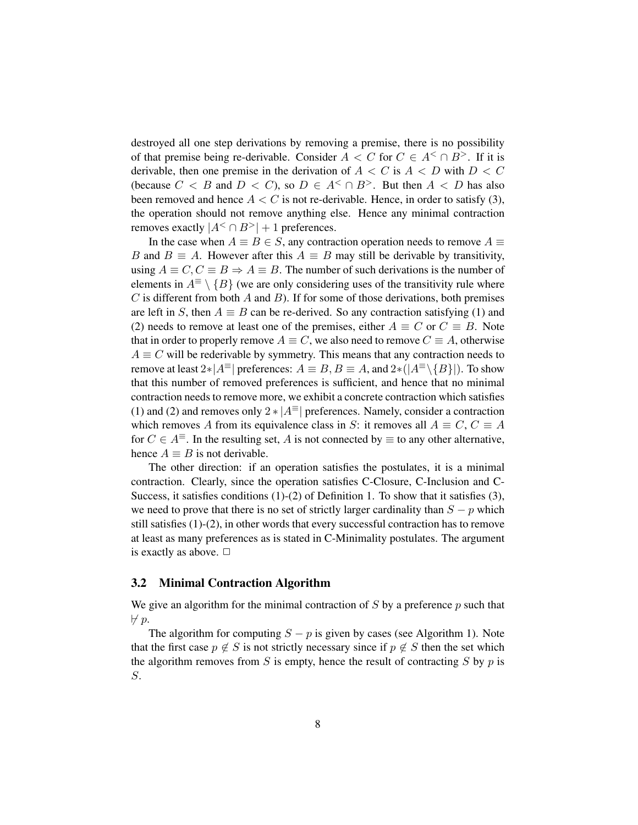destroyed all one step derivations by removing a premise, there is no possibility of that premise being re-derivable. Consider  $A \leq C$  for  $C \in A^{\leq} \cap B^{\geq}$ . If it is derivable, then one premise in the derivation of  $A < C$  is  $A < D$  with  $D < C$ (because  $C < B$  and  $D < C$ ), so  $D \in A^{\leq} \cap B^{\geq}$ . But then  $A < D$  has also been removed and hence  $A < C$  is not re-derivable. Hence, in order to satisfy (3), the operation should not remove anything else. Hence any minimal contraction removes exactly  $|A^{\lt}\cap B^{\gt}|+1$  preferences.

In the case when  $A \equiv B \in S$ , any contraction operation needs to remove  $A \equiv$ B and  $B \equiv A$ . However after this  $A \equiv B$  may still be derivable by transitivity, using  $A \equiv C, C \equiv B \Rightarrow A \equiv B$ . The number of such derivations is the number of elements in  $A^{\equiv} \setminus \{B\}$  (we are only considering uses of the transitivity rule where  $C$  is different from both  $A$  and  $B$ ). If for some of those derivations, both premises are left in S, then  $A \equiv B$  can be re-derived. So any contraction satisfying (1) and (2) needs to remove at least one of the premises, either  $A \equiv C$  or  $C \equiv B$ . Note that in order to properly remove  $A \equiv C$ , we also need to remove  $C \equiv A$ , otherwise  $A \equiv C$  will be rederivable by symmetry. This means that any contraction needs to remove at least  $2*|A^{\equiv}$  preferences:  $A \equiv B, B \equiv A$ , and  $2*(|A^{\equiv} \setminus {B}|)$ . To show that this number of removed preferences is sufficient, and hence that no minimal contraction needs to remove more, we exhibit a concrete contraction which satisfies (1) and (2) and removes only  $2 \times |A^{\equiv}|$  preferences. Namely, consider a contraction which removes A from its equivalence class in S: it removes all  $A \equiv C, C \equiv A$ for  $C \in A^{\equiv}$ . In the resulting set, A is not connected by  $\equiv$  to any other alternative, hence  $A \equiv B$  is not derivable.

The other direction: if an operation satisfies the postulates, it is a minimal contraction. Clearly, since the operation satisfies C-Closure, C-Inclusion and C-Success, it satisfies conditions (1)-(2) of Definition 1. To show that it satisfies (3), we need to prove that there is no set of strictly larger cardinality than  $S - p$  which still satisfies (1)-(2), in other words that every successful contraction has to remove at least as many preferences as is stated in C-Minimality postulates. The argument is exactly as above.  $\Box$ 

#### 3.2 Minimal Contraction Algorithm

We give an algorithm for the minimal contraction of  $S$  by a preference  $p$  such that  $\nvdash p$ .

The algorithm for computing  $S - p$  is given by cases (see Algorithm 1). Note that the first case  $p \notin S$  is not strictly necessary since if  $p \notin S$  then the set which the algorithm removes from S is empty, hence the result of contracting S by  $p$  is S.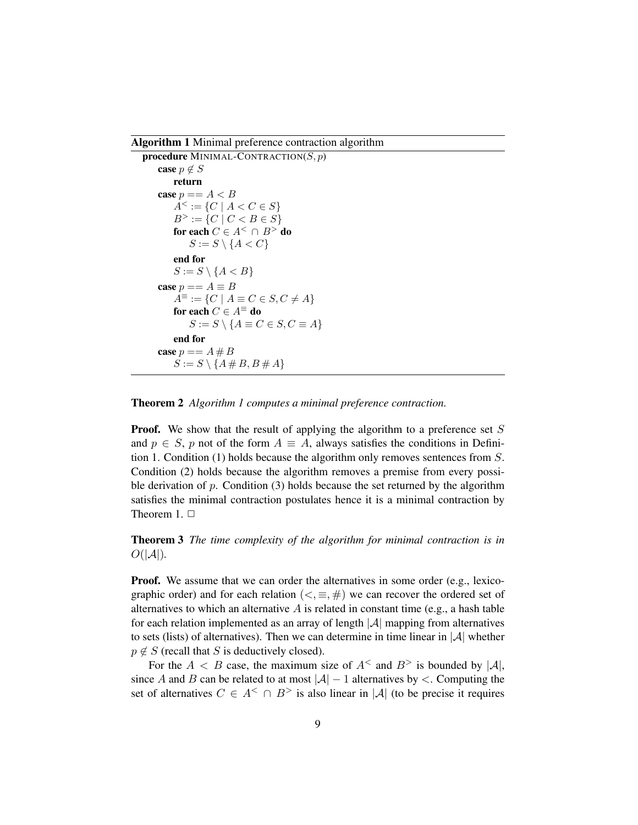Algorithm 1 Minimal preference contraction algorithm

```
procedure MINIMAL-CONTRACTION(S, p)case p \notin Sreturn
case p == A < BA^{\leq} := \{ C \mid A < C \in S \}B^> := \{ C \mid C < B \in S \}for each C \in A^{\lt} \cap B^{\gt} do
         S := S \setminus \{A < C\}end for
     S := S \setminus \{A < B\}case p == A \equiv BA^{\equiv} := \{ C \mid A \equiv C \in S, C \neq A \}for each C \in A^{\equiv} do
         S := S \setminus \{A \equiv C \in S, C \equiv A\}end for
case p == A \# BS := S \setminus \{A \# B, B \# A\}
```
Theorem 2 *Algorithm 1 computes a minimal preference contraction.*

**Proof.** We show that the result of applying the algorithm to a preference set S and  $p \in S$ , p not of the form  $A \equiv A$ , always satisfies the conditions in Definition 1. Condition (1) holds because the algorithm only removes sentences from S. Condition (2) holds because the algorithm removes a premise from every possible derivation of  $p$ . Condition (3) holds because the set returned by the algorithm satisfies the minimal contraction postulates hence it is a minimal contraction by Theorem 1.  $\Box$ 

Theorem 3 *The time complexity of the algorithm for minimal contraction is in*  $O(|\mathcal{A}|)$ .

**Proof.** We assume that we can order the alternatives in some order (e.g., lexicographic order) and for each relation  $\left\langle \langle \xi, \xi \rangle \right\rangle$  we can recover the ordered set of alternatives to which an alternative  $\vec{A}$  is related in constant time (e.g., a hash table for each relation implemented as an array of length  $|\mathcal{A}|$  mapping from alternatives to sets (lists) of alternatives). Then we can determine in time linear in  $|\mathcal{A}|$  whether  $p \notin S$  (recall that S is deductively closed).

For the  $A < B$  case, the maximum size of  $A^{\lt}$  and  $B^{\gt}$  is bounded by  $|A|$ , since A and B can be related to at most  $|\mathcal{A}| - 1$  alternatives by  $\lt$ . Computing the set of alternatives  $C \in A^{\le} \cap B^{\ge}$  is also linear in |A| (to be precise it requires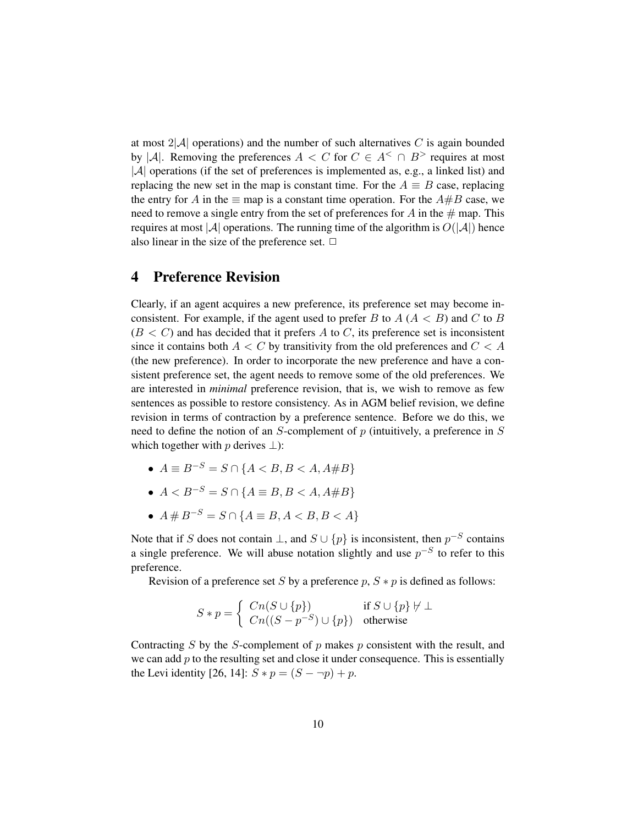at most  $2|\mathcal{A}|$  operations) and the number of such alternatives C is again bounded by |A|. Removing the preferences  $A < C$  for  $C \in A^{\le} \cap B^{\ge}$  requires at most  $|\mathcal{A}|$  operations (if the set of preferences is implemented as, e.g., a linked list) and replacing the new set in the map is constant time. For the  $A \equiv B$  case, replacing the entry for A in the  $\equiv$  map is a constant time operation. For the  $A#B$  case, we need to remove a single entry from the set of preferences for A in the  $\#$  map. This requires at most |A| operations. The running time of the algorithm is  $O(|A|)$  hence also linear in the size of the preference set.  $\Box$ 

# 4 Preference Revision

Clearly, if an agent acquires a new preference, its preference set may become inconsistent. For example, if the agent used to prefer B to  $A (A \leq B)$  and C to B  $(B < C)$  and has decided that it prefers A to C, its preference set is inconsistent since it contains both  $A \leq C$  by transitivity from the old preferences and  $C \leq A$ (the new preference). In order to incorporate the new preference and have a consistent preference set, the agent needs to remove some of the old preferences. We are interested in *minimal* preference revision, that is, we wish to remove as few sentences as possible to restore consistency. As in AGM belief revision, we define revision in terms of contraction by a preference sentence. Before we do this, we need to define the notion of an S-complement of  $p$  (intuitively, a preference in S which together with  $p$  derives  $\perp$ ):

- $A \equiv B^{-S} = S \cap \{A < B, B < A, A \# B\}$
- $A < B^{-S} = S \cap \{A \equiv B, B < A, A \# B\}$
- $A \# B^{-S} = S \cap \{A \equiv B, A < B, B < A\}$

Note that if S does not contain  $\bot$ , and  $S \cup \{p\}$  is inconsistent, then  $p^{-S}$  contains a single preference. We will abuse notation slightly and use  $p^{-S}$  to refer to this preference.

Revision of a preference set S by a preference  $p, S * p$  is defined as follows:

$$
S * p = \begin{cases} Cn(S \cup \{p\}) & \text{if } S \cup \{p\} \neq \bot \\ Cn((S - p^{-S}) \cup \{p\}) & \text{otherwise} \end{cases}
$$

Contracting  $S$  by the  $S$ -complement of  $p$  makes  $p$  consistent with the result, and we can add  $p$  to the resulting set and close it under consequence. This is essentially the Levi identity [26, 14]:  $S * p = (S - \neg p) + p$ .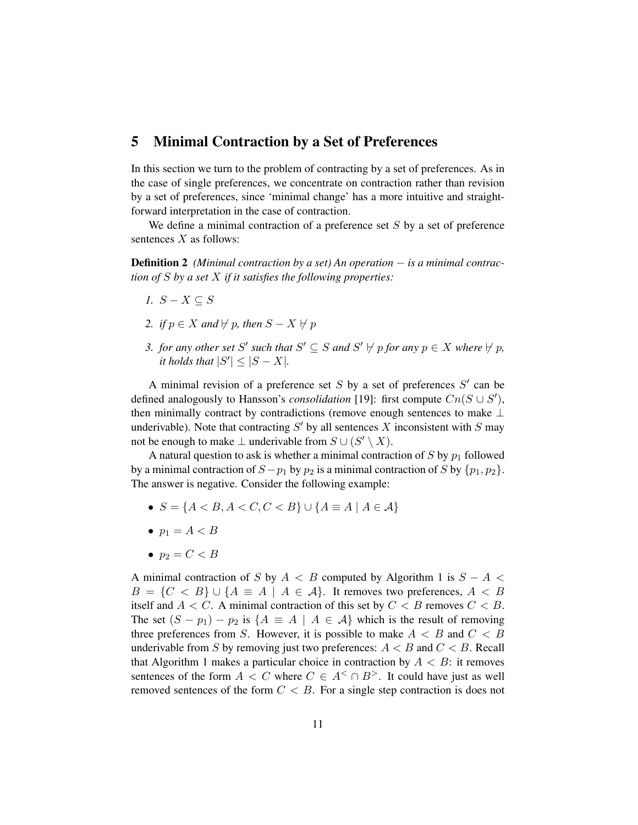## 5 Minimal Contraction by a Set of Preferences

In this section we turn to the problem of contracting by a set of preferences. As in the case of single preferences, we concentrate on contraction rather than revision by a set of preferences, since 'minimal change' has a more intuitive and straightforward interpretation in the case of contraction.

We define a minimal contraction of a preference set  $S$  by a set of preference sentences  $X$  as follows:

Definition 2 *(Minimal contraction by a set) An operation* − *is a minimal contraction of* S *by a set* X *if it satisfies the following properties:*

- *1.*  $S X \subseteq S$
- *2. if*  $p \in X$  *and*  $\nvdash p$ *, then*  $S X \nvdash p$
- *3. for any other set* S' such that  $S' \subseteq S$  and  $S' \nvdash p$  for any  $p \in X$  where  $\nvdash p$ , *it holds that*  $|S'| \leq |S - X|$ *.*

A minimal revision of a preference set  $S$  by a set of preferences  $S'$  can be defined analogously to Hansson's *consolidation* [19]: first compute  $Cn(S \cup S')$ , then minimally contract by contradictions (remove enough sentences to make ⊥ underivable). Note that contracting  $S'$  by all sentences X inconsistent with S may not be enough to make  $\perp$  underivable from  $S \cup (S' \setminus X)$ .

A natural question to ask is whether a minimal contraction of S by  $p_1$  followed by a minimal contraction of  $S-p_1$  by  $p_2$  is a minimal contraction of S by  $\{p_1, p_2\}$ . The answer is negative. Consider the following example:

- $S = \{A < B, A < C, C < B\} \cup \{A \equiv A \mid A \in \mathcal{A}\}\$
- $p_1 = A < B$
- $p_2 = C < B$

A minimal contraction of S by  $A < B$  computed by Algorithm 1 is  $S - A <$  $B = \{C < B\} \cup \{A \equiv A \mid A \in \mathcal{A}\}\$ . It removes two preferences,  $A < B$ itself and  $A < C$ . A minimal contraction of this set by  $C < B$  removes  $C < B$ . The set  $(S - p_1) - p_2$  is  $\{A \equiv A \mid A \in \mathcal{A}\}\$  which is the result of removing three preferences from S. However, it is possible to make  $A \leq B$  and  $C \leq B$ underivable from S by removing just two preferences:  $A < B$  and  $C < B$ . Recall that Algorithm 1 makes a particular choice in contraction by  $A \leq B$ : it removes sentences of the form  $A \leq C$  where  $C \in A^{\leq} \cap B^>$ . It could have just as well removed sentences of the form  $C < B$ . For a single step contraction is does not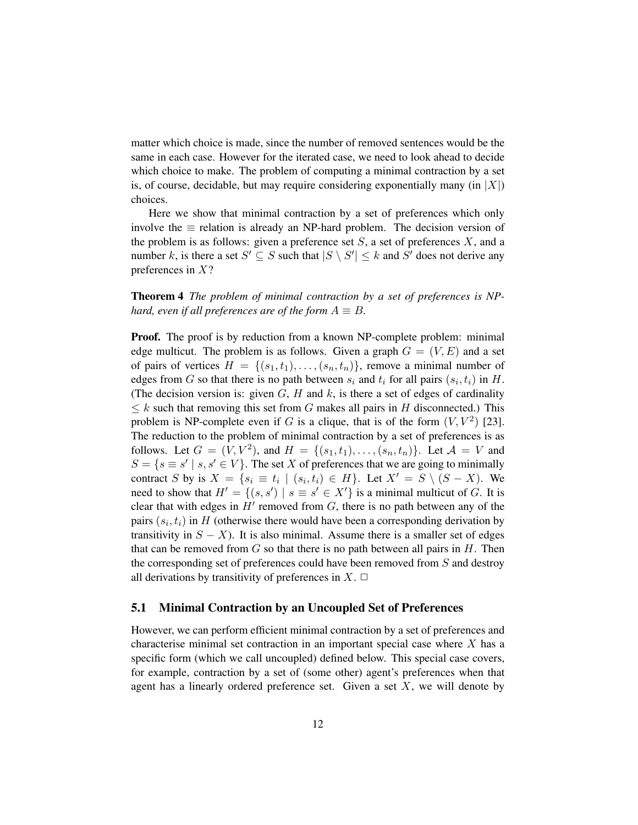matter which choice is made, since the number of removed sentences would be the same in each case. However for the iterated case, we need to look ahead to decide which choice to make. The problem of computing a minimal contraction by a set is, of course, decidable, but may require considering exponentially many (in  $|X|$ ) choices.

Here we show that minimal contraction by a set of preferences which only involve the  $\equiv$  relation is already an NP-hard problem. The decision version of the problem is as follows: given a preference set  $S$ , a set of preferences  $X$ , and a number k, is there a set  $S' \subseteq S$  such that  $|S \setminus S'| \leq k$  and  $S'$  does not derive any preferences in  $X$ ?

#### Theorem 4 *The problem of minimal contraction by a set of preferences is NPhard, even if all preferences are of the form*  $A \equiv B$ .

Proof. The proof is by reduction from a known NP-complete problem: minimal edge multicut. The problem is as follows. Given a graph  $G = (V, E)$  and a set of pairs of vertices  $H = \{(s_1, t_1), \ldots, (s_n, t_n)\}\)$ , remove a minimal number of edges from G so that there is no path between  $s_i$  and  $t_i$  for all pairs  $(s_i, t_i)$  in H. (The decision version is: given  $G$ ,  $H$  and  $k$ , is there a set of edges of cardinality  $\leq k$  such that removing this set from G makes all pairs in H disconnected.) This problem is NP-complete even if G is a clique, that is of the form  $(V, V^2)$  [23]. The reduction to the problem of minimal contraction by a set of preferences is as follows. Let  $G = (V, V^2)$ , and  $H = \{(s_1, t_1), \dots, (s_n, t_n)\}\$ . Let  $\mathcal{A} = V$  and  $S = \{s \equiv s' \mid s, s' \in V\}$ . The set X of preferences that we are going to minimally contract S by is  $X = \{s_i \equiv t_i \mid (s_i, t_i) \in H\}$ . Let  $X' = S \setminus (S - X)$ . We need to show that  $H' = \{(s, s') | s \equiv s' \in X'\}$  is a minimal multicut of G. It is clear that with edges in  $H'$  removed from  $G$ , there is no path between any of the pairs  $(s_i, t_i)$  in H (otherwise there would have been a corresponding derivation by transitivity in  $S - X$ ). It is also minimal. Assume there is a smaller set of edges that can be removed from  $G$  so that there is no path between all pairs in  $H$ . Then the corresponding set of preferences could have been removed from S and destroy all derivations by transitivity of preferences in  $X$ .  $\Box$ 

#### 5.1 Minimal Contraction by an Uncoupled Set of Preferences

However, we can perform efficient minimal contraction by a set of preferences and characterise minimal set contraction in an important special case where  $X$  has a specific form (which we call uncoupled) defined below. This special case covers, for example, contraction by a set of (some other) agent's preferences when that agent has a linearly ordered preference set. Given a set  $X$ , we will denote by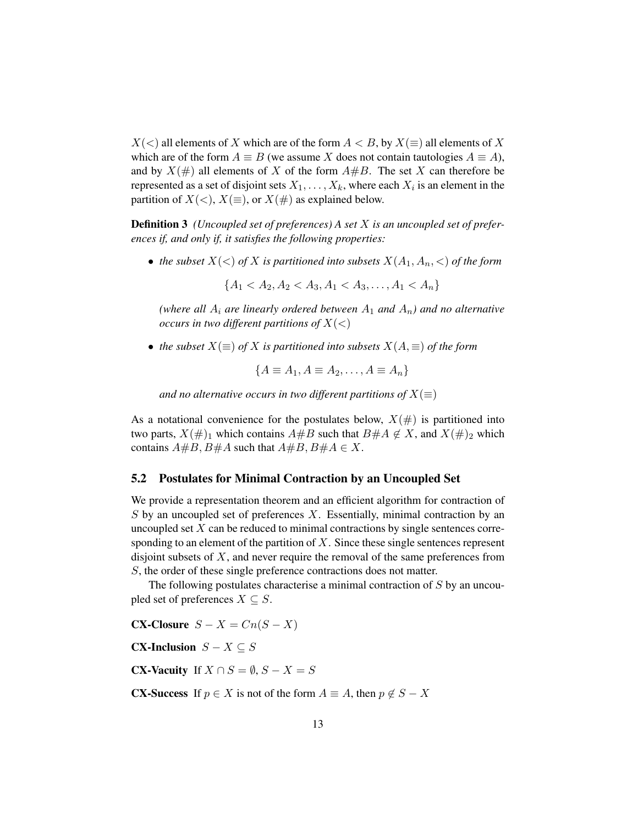$X(\le)$  all elements of X which are of the form  $A \leq B$ , by  $X(\equiv)$  all elements of X which are of the form  $A \equiv B$  (we assume X does not contain tautologies  $A \equiv A$ ), and by  $X(\#)$  all elements of X of the form  $A#B$ . The set X can therefore be represented as a set of disjoint sets  $X_1, \ldots, X_k$ , where each  $X_i$  is an element in the partition of  $X(\leq), X(\equiv)$ , or  $X(\#)$  as explained below.

Definition 3 *(Uncoupled set of preferences) A set* X *is an uncoupled set of preferences if, and only if, it satisfies the following properties:*

• *the subset*  $X(\le)$  *of* X *is partitioned into subsets*  $X(A_1, A_n, \le)$  *of the form* 

 ${A_1 < A_2, A_2 < A_3, A_1 < A_3, ..., A_1 < A_n}$ 

*(where all*  $A_i$  *are linearly ordered between*  $A_1$  *and*  $A_n$ *) and no alternative occurs in two different partitions of*  $X(\leq)$ 

• *the subset*  $X(\equiv)$  *of* X *is partitioned into subsets*  $X(A, \equiv)$  *of the form* 

 ${A \equiv A_1, A \equiv A_2, \ldots, A \equiv A_n}$ 

*and no alternative occurs in two different partitions of*  $X(\equiv)$ 

As a notational convenience for the postulates below,  $X(\#)$  is partitioned into two parts,  $X(\#)$ <sub>1</sub> which contains  $A\#B$  such that  $B\#A \notin X$ , and  $X(\#)$ <sub>2</sub> which contains  $A#B$ ,  $B#A$  such that  $A#B$ ,  $B#A \in X$ .

#### 5.2 Postulates for Minimal Contraction by an Uncoupled Set

We provide a representation theorem and an efficient algorithm for contraction of  $S$  by an uncoupled set of preferences  $X$ . Essentially, minimal contraction by an uncoupled set  $X$  can be reduced to minimal contractions by single sentences corresponding to an element of the partition of  $X$ . Since these single sentences represent disjoint subsets of  $X$ , and never require the removal of the same preferences from S, the order of these single preference contractions does not matter.

The following postulates characterise a minimal contraction of S by an uncoupled set of preferences  $X \subseteq S$ .

CX-Closure  $S - X = Cn(S - X)$ 

CX-Inclusion  $S − X ⊂ S$ 

CX-Vacuity If  $X \cap S = \emptyset$ ,  $S - X = S$ 

**CX-Success** If  $p \in X$  is not of the form  $A \equiv A$ , then  $p \notin S - X$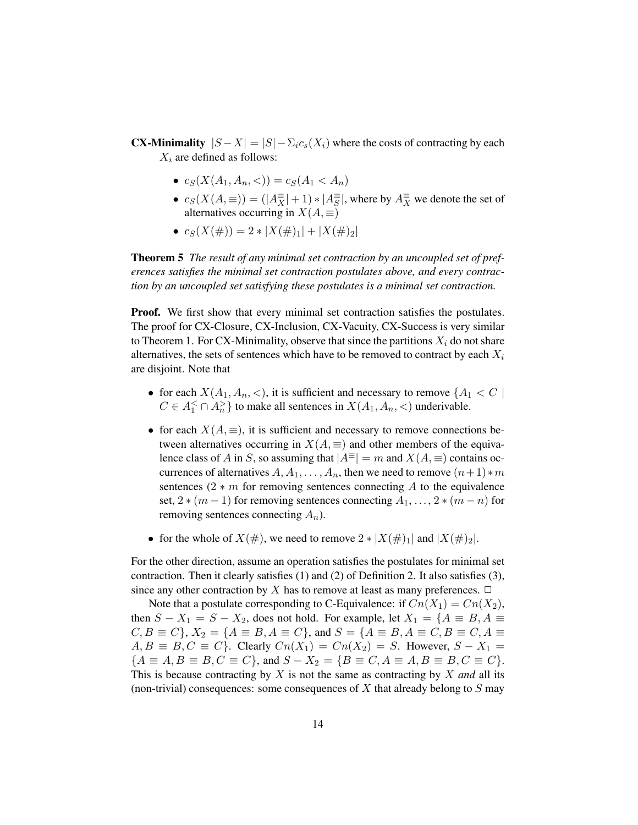**CX-Minimality**  $|S - X| = |S| - \sum_{i} c_s(X_i)$  where the costs of contracting by each  $X_i$  are defined as follows:

- $c_S(X(A_1, A_n, <)) = c_S(A_1 < A_n)$
- $c_S(X(A, \equiv)) = (|A_X^{\equiv}| + 1) * |A_S^{\equiv}|$ , where by  $A_X^{\equiv}$  we denote the set of alternatives occurring in  $X(A, \equiv)$
- $c_S(X(\#)) = 2 * |X(\#)_1| + |X(\#)_2|$

Theorem 5 *The result of any minimal set contraction by an uncoupled set of preferences satisfies the minimal set contraction postulates above, and every contraction by an uncoupled set satisfying these postulates is a minimal set contraction.*

**Proof.** We first show that every minimal set contraction satisfies the postulates. The proof for CX-Closure, CX-Inclusion, CX-Vacuity, CX-Success is very similar to Theorem 1. For CX-Minimality, observe that since the partitions  $X_i$  do not share alternatives, the sets of sentences which have to be removed to contract by each  $X_i$ are disjoint. Note that

- for each  $X(A_1, A_n, \lt)$ , it is sufficient and necessary to remove  $\{A_1 \lt C \mid$  $C \in A_1^{\leq} \cap A_n^{\geq}$  to make all sentences in  $X(A_1, A_n, \leq)$  underivable.
- for each  $X(A, \equiv)$ , it is sufficient and necessary to remove connections between alternatives occurring in  $X(A, \equiv)$  and other members of the equivalence class of A in S, so assuming that  $|A^{\equiv}| = m$  and  $X(A, \equiv)$  contains occurrences of alternatives  $A, A_1, \ldots, A_n$ , then we need to remove  $(n+1) * m$ sentences  $(2 * m)$  for removing sentences connecting A to the equivalence set,  $2*(m-1)$  for removing sentences connecting  $A_1, \ldots, 2*(m-n)$  for removing sentences connecting  $A_n$ ).
- for the whole of  $X(\#)$ , we need to remove  $2 * |X(\#)_1|$  and  $|X(\#)_2|$ .

For the other direction, assume an operation satisfies the postulates for minimal set contraction. Then it clearly satisfies (1) and (2) of Definition 2. It also satisfies (3), since any other contraction by X has to remove at least as many preferences.  $\Box$ 

Note that a postulate corresponding to C-Equivalence: if  $Cn(X_1) = Cn(X_2)$ , then  $S - X_1 = S - X_2$ , does not hold. For example, let  $X_1 = \{A \equiv B, A \equiv A\}$  $C, B \equiv C$ ,  $X_2 = \{A \equiv B, A \equiv C\}$ , and  $S = \{A \equiv B, A \equiv C, B \equiv C, A \equiv C\}$  $A, B \equiv B, C \equiv C$ . Clearly  $Cn(X_1) = Cn(X_2) = S$ . However,  $S - X_1 =$  ${A \equiv A, B \equiv B, C \equiv C}, \text{ and } S - X_2 = {B \equiv C, A \equiv A, B \equiv B, C \equiv C}.$ This is because contracting by X is not the same as contracting by X *and* all its (non-trivial) consequences: some consequences of  $X$  that already belong to  $S$  may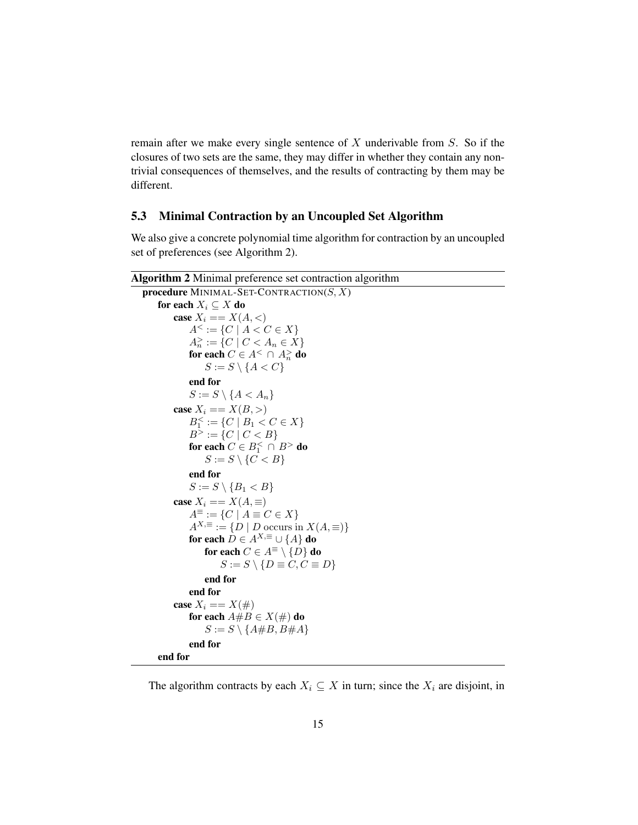remain after we make every single sentence of  $X$  underivable from  $S$ . So if the closures of two sets are the same, they may differ in whether they contain any nontrivial consequences of themselves, and the results of contracting by them may be different.

#### 5.3 Minimal Contraction by an Uncoupled Set Algorithm

We also give a concrete polynomial time algorithm for contraction by an uncoupled set of preferences (see Algorithm 2).

```
Algorithm 2 Minimal preference set contraction algorithm
```

```
procedure MINIMAL-SET-CONTRACTION(S, X)for each X_i \subseteq X do
     case X_i == X(A, <)A^{\leq} := \{ C \mid A < C \in X \}A_n^{\geq} := \{ C \mid C < A_n \in X \}for each C \in A^{\lt} \cap A_n^{\gt} do
              S := S \setminus \{A < C\}end for
         S := S \setminus \{A < A_n\}case X_i == X(B,>)B_1^{\leq} := \{ C \mid B_1 < C \in X \}B^>:=\{C\mid C < B\}for each C \in B_1^{\lt} \cap B^{\gt} do
              S := S \setminus \{C < B\}end for
         S := S \setminus \{B_1 < B\}case X_i == X(A, \equiv)A^{\equiv} := \{ C \mid A \equiv C \in X \}A^{X,\equiv} := \{ D \mid D \text{ occurs in } X(A,\equiv) \}for each \dot{D} \in A^{X,\equiv} \cup \{A\} do
              for each C \in A^{\equiv} \setminus \{D\} do
                   S := S \setminus \{D \equiv C, C \equiv D\}end for
         end for
     case X_i == X(\#)for each A\#B \in X(\#) do
              S := S \setminus \{A \# B, B \# A\}end for
end for
```
The algorithm contracts by each  $X_i \subseteq X$  in turn; since the  $X_i$  are disjoint, in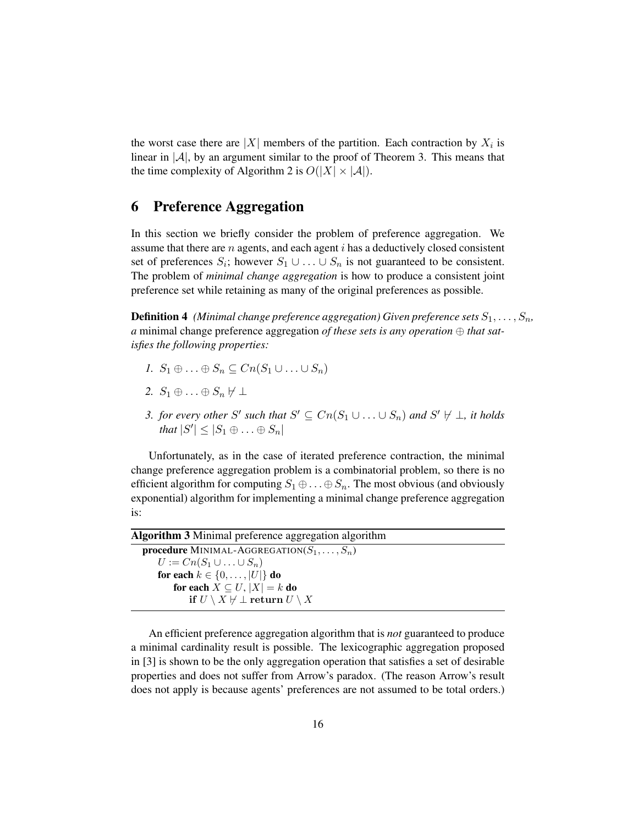the worst case there are |X| members of the partition. Each contraction by  $X_i$  is linear in  $|A|$ , by an argument similar to the proof of Theorem 3. This means that the time complexity of Algorithm 2 is  $O(|X| \times |A|)$ .

## 6 Preference Aggregation

In this section we briefly consider the problem of preference aggregation. We assume that there are  $n$  agents, and each agent  $i$  has a deductively closed consistent set of preferences  $S_i$ ; however  $S_1 \cup \ldots \cup S_n$  is not guaranteed to be consistent. The problem of *minimal change aggregation* is how to produce a consistent joint preference set while retaining as many of the original preferences as possible.

**Definition 4** *(Minimal change preference aggregation) Given preference sets*  $S_1, \ldots, S_n$ , *a* minimal change preference aggregation *of these sets is any operation* ⊕ *that satisfies the following properties:*

- *1.*  $S_1 \oplus \ldots \oplus S_n \subseteq Cn(S_1 \cup \ldots \cup S_n)$
- 2.  $S_1 \oplus \ldots \oplus S_n \not\vdash \bot$
- *3. for every other* S' such that  $S' \subseteq Cn(S_1 \cup ... \cup S_n)$  and  $S' \not\vdash \bot$ , it holds *that*  $|S'| \leq |S_1 \oplus ... \oplus S_n|$

Unfortunately, as in the case of iterated preference contraction, the minimal change preference aggregation problem is a combinatorial problem, so there is no efficient algorithm for computing  $S_1 \oplus \ldots \oplus S_n$ . The most obvious (and obviously exponential) algorithm for implementing a minimal change preference aggregation is:

| <b>Algorithm 3</b> Minimal preference aggregation algorithm |
|-------------------------------------------------------------|
| <b>procedure</b> MINIMAL-AGGREGATION( $S_1, \ldots, S_n$ )  |
| $U := Cn(S_1 \cup \ldots \cup S_n)$                         |
| for each $k \in \{0, \ldots,  U \}$ do                      |
| for each $X \subseteq U,  X  = k$ do                        |
| if $U \setminus X \not\vdash \bot$ return $U \setminus X$   |
|                                                             |

An efficient preference aggregation algorithm that is *not* guaranteed to produce a minimal cardinality result is possible. The lexicographic aggregation proposed in [3] is shown to be the only aggregation operation that satisfies a set of desirable properties and does not suffer from Arrow's paradox. (The reason Arrow's result does not apply is because agents' preferences are not assumed to be total orders.)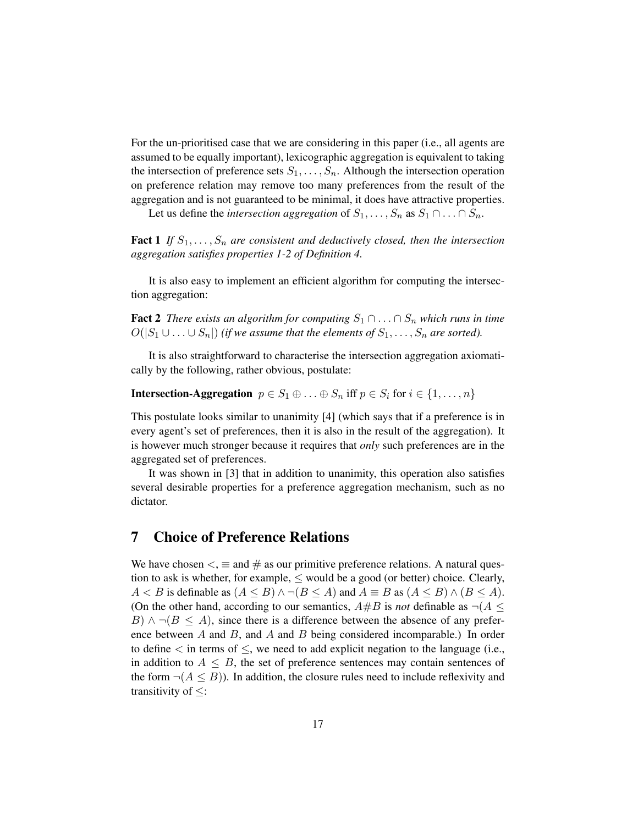For the un-prioritised case that we are considering in this paper (i.e., all agents are assumed to be equally important), lexicographic aggregation is equivalent to taking the intersection of preference sets  $S_1, \ldots, S_n$ . Although the intersection operation on preference relation may remove too many preferences from the result of the aggregation and is not guaranteed to be minimal, it does have attractive properties.

Let us define the *intersection aggregation* of  $S_1, \ldots, S_n$  as  $S_1 \cap \ldots \cap S_n$ .

**Fact 1** If  $S_1, \ldots, S_n$  are consistent and deductively closed, then the intersection *aggregation satisfies properties 1-2 of Definition 4.*

It is also easy to implement an efficient algorithm for computing the intersection aggregation:

**Fact 2** *There exists an algorithm for computing*  $S_1 \cap \ldots \cap S_n$  *which runs in time*  $O(|S_1 \cup ... \cup S_n|)$  *(if we assume that the elements of*  $S_1, ..., S_n$  *are sorted).* 

It is also straightforward to characterise the intersection aggregation axiomatically by the following, rather obvious, postulate:

# **Intersection-Aggregation**  $p \in S_1 \oplus \ldots \oplus S_n$  iff  $p \in S_i$  for  $i \in \{1, \ldots, n\}$

This postulate looks similar to unanimity [4] (which says that if a preference is in every agent's set of preferences, then it is also in the result of the aggregation). It is however much stronger because it requires that *only* such preferences are in the aggregated set of preferences.

It was shown in [3] that in addition to unanimity, this operation also satisfies several desirable properties for a preference aggregation mechanism, such as no dictator.

## 7 Choice of Preference Relations

We have chosen  $\lt$ ,  $\equiv$  and  $\#$  as our primitive preference relations. A natural question to ask is whether, for example,  $\leq$  would be a good (or better) choice. Clearly,  $A < B$  is definable as  $(A \leq B) \land \neg (B \leq A)$  and  $A \equiv B$  as  $(A \leq B) \land (B \leq A)$ . (On the other hand, according to our semantics,  $A#B$  is *not* definable as  $\neg(A \leq$ B)  $\wedge \neg (B \leq A)$ , since there is a difference between the absence of any preference between A and B, and A and B being considered incomparable.) In order to define  $\lt$  in terms of  $\leq$ , we need to add explicit negation to the language (i.e., in addition to  $A \leq B$ , the set of preference sentences may contain sentences of the form  $\neg(A \leq B)$ ). In addition, the closure rules need to include reflexivity and transitivity of  $\leq$ :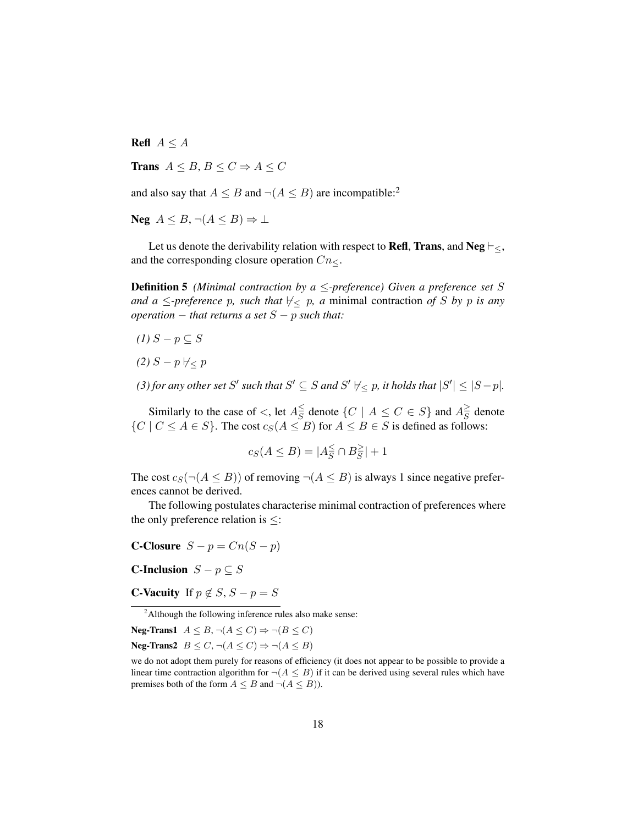**Refl**  $A \leq A$ 

Trans  $A \leq B, B \leq C \Rightarrow A \leq C$ 

and also say that  $A \leq B$  and  $\neg (A \leq B)$  are incompatible:<sup>2</sup>

Neg  $A \leq B$ ,  $\neg (A \leq B) \Rightarrow \bot$ 

Let us denote the derivability relation with respect to **Refl, Trans**, and **Neg**  $\vdash_<$ , and the corresponding closure operation  $C_{n<}$ .

**Definition 5** *(Minimal contraction by a*  $\leq$ *-preference)* Given a preference set S *and a*  $\leq$ *-preference* p, such that  $\nvdash < p$ , a minimal contraction of S by p is any *operation* − *that returns a set* S − p *such that:*

- $(I) S p \subset S$
- $(2)$  *S* − *p*  $\forall$  < *p*

*(3) for any other set*  $S'$  *such that*  $S' \subseteq S$  *and*  $S' \nvdash_{\leq} p$ *, it holds that*  $|S'| \leq |S-p|$ *.* 

Similarly to the case of  $\lt$ , let  $A_{\mathcal{S}}^{\leq}$  $\frac{S}{S}$  denote  $\{C \mid A \leq C \in S\}$  and  $A_{S}^{\geq}$  $\frac{2}{S}$  denote  $\{C \mid C \le A \in S\}$ . The cost  $c_S(A \le B)$  for  $A \le B \in S$  is defined as follows:

$$
c_S(A \le B) = |A_S^{\le} \cap B_S^{\ge}| + 1
$$

The cost  $c_S(\neg(A \leq B))$  of removing  $\neg(A \leq B)$  is always 1 since negative preferences cannot be derived.

The following postulates characterise minimal contraction of preferences where the only preference relation is  $\leq$ :

C-Closure  $S - p = Cn(S - p)$ 

**C-Inclusion**  $S - p \subseteq S$ 

**C-Vacuity** If  $p \notin S$ ,  $S - p = S$ 

<sup>2</sup>Although the following inference rules also make sense:

Neg-Trans1  $A \leq B$ ,  $\neg(A \leq C) \Rightarrow \neg(B \leq C)$ Neg-Trans2  $B \leq C$ ,  $\neg (A \leq C) \Rightarrow \neg (A \leq B)$ 

we do not adopt them purely for reasons of efficiency (it does not appear to be possible to provide a linear time contraction algorithm for  $\neg (A \leq B)$  if it can be derived using several rules which have premises both of the form  $A \leq B$  and  $\neg (A \leq B)$ ).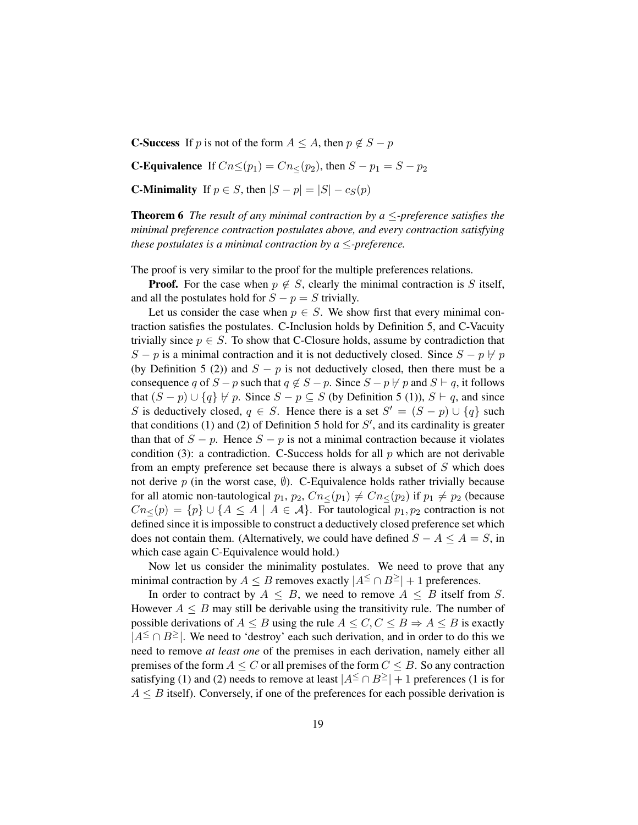**C-Success** If p is not of the form  $A \leq A$ , then  $p \notin S - p$ 

**C-Equivalence** If  $Cn \leq (p_1) = Cn \lt (p_2)$ , then  $S - p_1 = S - p_2$ 

**C-Minimality** If  $p \in S$ , then  $|S - p| = |S| - c_S(p)$ 

**Theorem 6** *The result of any minimal contraction by a*  $\leq$ -preference satisfies the *minimal preference contraction postulates above, and every contraction satisfying these postulates is a minimal contraction by a*  $\leq$ *-preference.* 

The proof is very similar to the proof for the multiple preferences relations.

**Proof.** For the case when  $p \notin S$ , clearly the minimal contraction is S itself, and all the postulates hold for  $S - p = S$  trivially.

Let us consider the case when  $p \in S$ . We show first that every minimal contraction satisfies the postulates. C-Inclusion holds by Definition 5, and C-Vacuity trivially since  $p \in S$ . To show that C-Closure holds, assume by contradiction that  $S - p$  is a minimal contraction and it is not deductively closed. Since  $S - p \nmid p$ (by Definition 5 (2)) and  $S - p$  is not deductively closed, then there must be a consequence q of  $S - p$  such that  $q \notin S - p$ . Since  $S - p \nleftrightarrow p$  and  $S \vdash q$ , it follows that  $(S - p) \cup \{q\} \not\vdash p$ . Since  $S - p \subseteq S$  (by Definition 5 (1)),  $S \vdash q$ , and since S is deductively closed,  $q \in S$ . Hence there is a set  $S' = (S - p) \cup \{q\}$  such that conditions (1) and (2) of Definition 5 hold for  $S'$ , and its cardinality is greater than that of  $S - p$ . Hence  $S - p$  is not a minimal contraction because it violates condition (3): a contradiction. C-Success holds for all  $p$  which are not derivable from an empty preference set because there is always a subset of S which does not derive  $p$  (in the worst case,  $\emptyset$ ). C-Equivalence holds rather trivially because for all atomic non-tautological  $p_1$ ,  $p_2$ ,  $Cn<(p_1) \neq Cn<(p_2)$  if  $p_1 \neq p_2$  (because  $Cn<(p) = {p} \cup {A \leq A | A \in \mathcal{A}}$ . For tautological  $p_1, p_2$  contraction is not defined since it is impossible to construct a deductively closed preference set which does not contain them. (Alternatively, we could have defined  $S - A \leq A = S$ , in which case again C-Equivalence would hold.)

Now let us consider the minimality postulates. We need to prove that any minimal contraction by  $A \leq B$  removes exactly  $|A^{\leq} \cap B^{\geq}| + 1$  preferences.

In order to contract by  $A \leq B$ , we need to remove  $A \leq B$  itself from S. However  $A \leq B$  may still be derivable using the transitivity rule. The number of possible derivations of  $A \leq B$  using the rule  $A \leq C, C \leq B \Rightarrow A \leq B$  is exactly  $|A^{\leq} \cap B^{\geq}|$ . We need to 'destroy' each such derivation, and in order to do this we need to remove *at least one* of the premises in each derivation, namely either all premises of the form  $A \leq C$  or all premises of the form  $C \leq B$ . So any contraction satisfying (1) and (2) needs to remove at least  $|A^{\leq} \cap B^{\geq}| + 1$  preferences (1 is for  $A \leq B$  itself). Conversely, if one of the preferences for each possible derivation is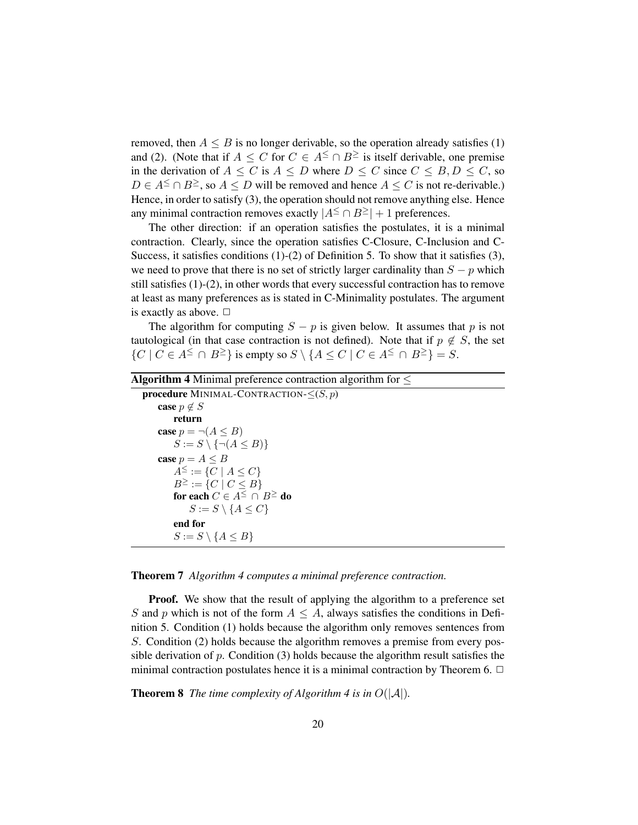removed, then  $A \leq B$  is no longer derivable, so the operation already satisfies (1) and (2). (Note that if  $A \leq C$  for  $C \in A^{\leq} \cap B^{\geq}$  is itself derivable, one premise in the derivation of  $A \leq C$  is  $A \leq D$  where  $D \leq C$  since  $C \leq B, D \leq C$ , so  $D \in A^{\leq} \cap B^{\geq}$ , so  $A \leq D$  will be removed and hence  $A \leq C$  is not re-derivable.) Hence, in order to satisfy (3), the operation should not remove anything else. Hence any minimal contraction removes exactly  $|A^{\leq} \cap B^{\geq}| + 1$  preferences.

The other direction: if an operation satisfies the postulates, it is a minimal contraction. Clearly, since the operation satisfies C-Closure, C-Inclusion and C-Success, it satisfies conditions  $(1)-(2)$  of Definition 5. To show that it satisfies  $(3)$ , we need to prove that there is no set of strictly larger cardinality than  $S - p$  which still satisfies (1)-(2), in other words that every successful contraction has to remove at least as many preferences as is stated in C-Minimality postulates. The argument is exactly as above.  $\Box$ 

The algorithm for computing  $S - p$  is given below. It assumes that p is not tautological (in that case contraction is not defined). Note that if  $p \notin S$ , the set  $\{C \mid C \in A^{\leq} \cap B^{\geq}\}\$ is empty so  $S \setminus \{A \leq C \mid C \in A^{\leq} \cap B^{\geq}\}=S$ .

### **Algorithm 4** Minimal preference contraction algorithm for  $\leq$

```
procedure MINIMAL-CONTRACTION-\leq(S, p)
case p \notin Sreturn
case p = \neg (A \leq B)S := S \setminus \{\neg(A \leq B)\}\case p = A \leq BA^{\leq} := \{C \mid A \leq C\}B^{\geq} := \{ C \mid C \leq B \}for each C \in A^{\leq} \cap B^{\geq} do
          S := S \setminus \{A \leq C\}end for
     S := S \setminus \{A \leq B\}
```
#### Theorem 7 *Algorithm 4 computes a minimal preference contraction.*

**Proof.** We show that the result of applying the algorithm to a preference set S and p which is not of the form  $A \leq A$ , always satisfies the conditions in Definition 5. Condition (1) holds because the algorithm only removes sentences from S. Condition (2) holds because the algorithm removes a premise from every possible derivation of p. Condition  $(3)$  holds because the algorithm result satisfies the minimal contraction postulates hence it is a minimal contraction by Theorem 6.  $\Box$ 

**Theorem 8** *The time complexity of Algorithm 4 is in*  $O(|A|)$ *.*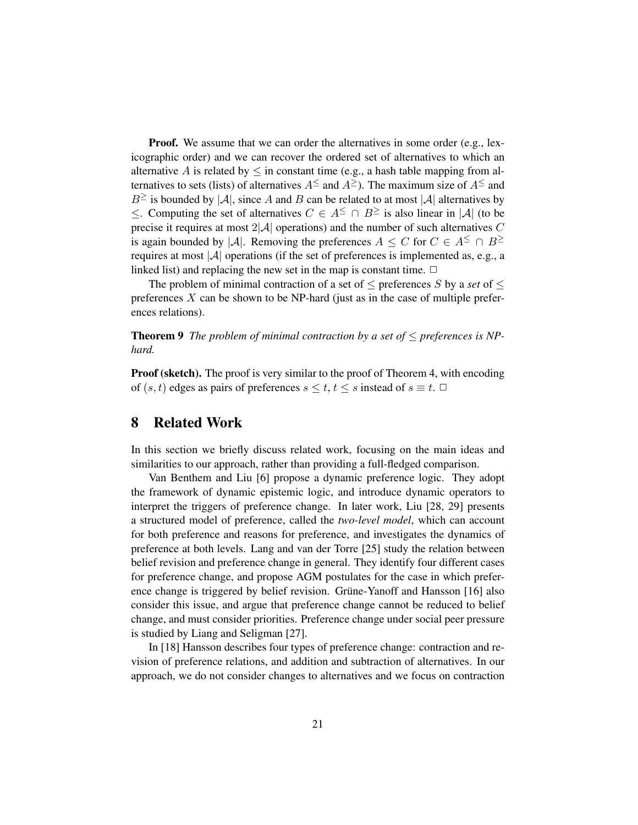**Proof.** We assume that we can order the alternatives in some order (e.g., lexicographic order) and we can recover the ordered set of alternatives to which an alternative A is related by  $\leq$  in constant time (e.g., a hash table mapping from alternatives to sets (lists) of alternatives  $A^{\le}$  and  $A^{\ge}$ ). The maximum size of  $A^{\le}$  and  $B^{\geq}$  is bounded by  $|\mathcal{A}|$ , since A and B can be related to at most  $|\mathcal{A}|$  alternatives by <. Computing the set of alternatives  $C \in A^{\leq} \cap B^{\geq}$  is also linear in |A| (to be precise it requires at most  $2|\mathcal{A}|$  operations) and the number of such alternatives C is again bounded by |A|. Removing the preferences  $A \leq C$  for  $C \in A^{\leq} \cap B^{\geq}$ requires at most  $|\mathcal{A}|$  operations (if the set of preferences is implemented as, e.g., a linked list) and replacing the new set in the map is constant time.  $\Box$ 

The problem of minimal contraction of a set of  $\leq$  preferences S by a *set* of  $\leq$ preferences  $X$  can be shown to be NP-hard (just as in the case of multiple preferences relations).

Theorem 9 *The problem of minimal contraction by a set of* ≤ *preferences is NPhard.*

**Proof (sketch).** The proof is very similar to the proof of Theorem 4, with encoding of  $(s, t)$  edges as pairs of preferences  $s \leq t, t \leq s$  instead of  $s \equiv t$ .  $\Box$ 

# 8 Related Work

In this section we briefly discuss related work, focusing on the main ideas and similarities to our approach, rather than providing a full-fledged comparison.

Van Benthem and Liu [6] propose a dynamic preference logic. They adopt the framework of dynamic epistemic logic, and introduce dynamic operators to interpret the triggers of preference change. In later work, Liu [28, 29] presents a structured model of preference, called the *two-level model*, which can account for both preference and reasons for preference, and investigates the dynamics of preference at both levels. Lang and van der Torre [25] study the relation between belief revision and preference change in general. They identify four different cases for preference change, and propose AGM postulates for the case in which preference change is triggered by belief revision. Grüne-Yanoff and Hansson [16] also consider this issue, and argue that preference change cannot be reduced to belief change, and must consider priorities. Preference change under social peer pressure is studied by Liang and Seligman [27].

In [18] Hansson describes four types of preference change: contraction and revision of preference relations, and addition and subtraction of alternatives. In our approach, we do not consider changes to alternatives and we focus on contraction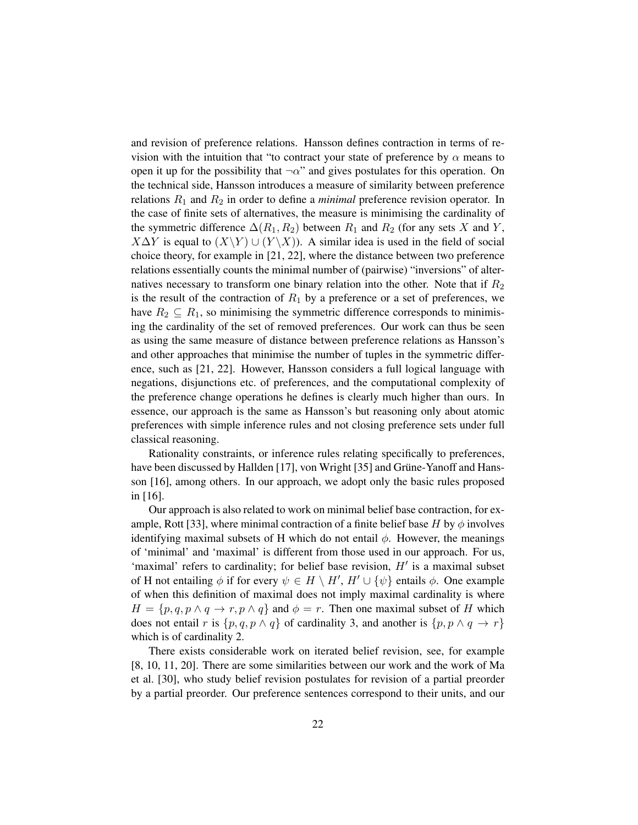and revision of preference relations. Hansson defines contraction in terms of revision with the intuition that "to contract your state of preference by  $\alpha$  means to open it up for the possibility that  $\neg \alpha$ " and gives postulates for this operation. On the technical side, Hansson introduces a measure of similarity between preference relations  $R_1$  and  $R_2$  in order to define a *minimal* preference revision operator. In the case of finite sets of alternatives, the measure is minimising the cardinality of the symmetric difference  $\Delta(R_1, R_2)$  between  $R_1$  and  $R_2$  (for any sets X and Y,  $X\Delta Y$  is equal to  $(X\Y) \cup (Y\X)$ . A similar idea is used in the field of social choice theory, for example in [21, 22], where the distance between two preference relations essentially counts the minimal number of (pairwise) "inversions" of alternatives necessary to transform one binary relation into the other. Note that if  $R_2$ is the result of the contraction of  $R_1$  by a preference or a set of preferences, we have  $R_2 \subseteq R_1$ , so minimising the symmetric difference corresponds to minimising the cardinality of the set of removed preferences. Our work can thus be seen as using the same measure of distance between preference relations as Hansson's and other approaches that minimise the number of tuples in the symmetric difference, such as [21, 22]. However, Hansson considers a full logical language with negations, disjunctions etc. of preferences, and the computational complexity of the preference change operations he defines is clearly much higher than ours. In essence, our approach is the same as Hansson's but reasoning only about atomic preferences with simple inference rules and not closing preference sets under full classical reasoning.

Rationality constraints, or inference rules relating specifically to preferences, have been discussed by Hallden [17], von Wright [35] and Grüne-Yanoff and Hansson [16], among others. In our approach, we adopt only the basic rules proposed in [16].

Our approach is also related to work on minimal belief base contraction, for example, Rott [33], where minimal contraction of a finite belief base H by  $\phi$  involves identifying maximal subsets of H which do not entail  $\phi$ . However, the meanings of 'minimal' and 'maximal' is different from those used in our approach. For us, 'maximal' refers to cardinality; for belief base revision,  $H'$  is a maximal subset of H not entailing  $\phi$  if for every  $\psi \in H \setminus H'$ ,  $H' \cup \{\psi\}$  entails  $\phi$ . One example of when this definition of maximal does not imply maximal cardinality is where  $H = \{p, q, p \wedge q \rightarrow r, p \wedge q\}$  and  $\phi = r$ . Then one maximal subset of H which does not entail r is  $\{p,q,p \wedge q\}$  of cardinality 3, and another is  $\{p,p \wedge q \rightarrow r\}$ which is of cardinality 2.

There exists considerable work on iterated belief revision, see, for example [8, 10, 11, 20]. There are some similarities between our work and the work of Ma et al. [30], who study belief revision postulates for revision of a partial preorder by a partial preorder. Our preference sentences correspond to their units, and our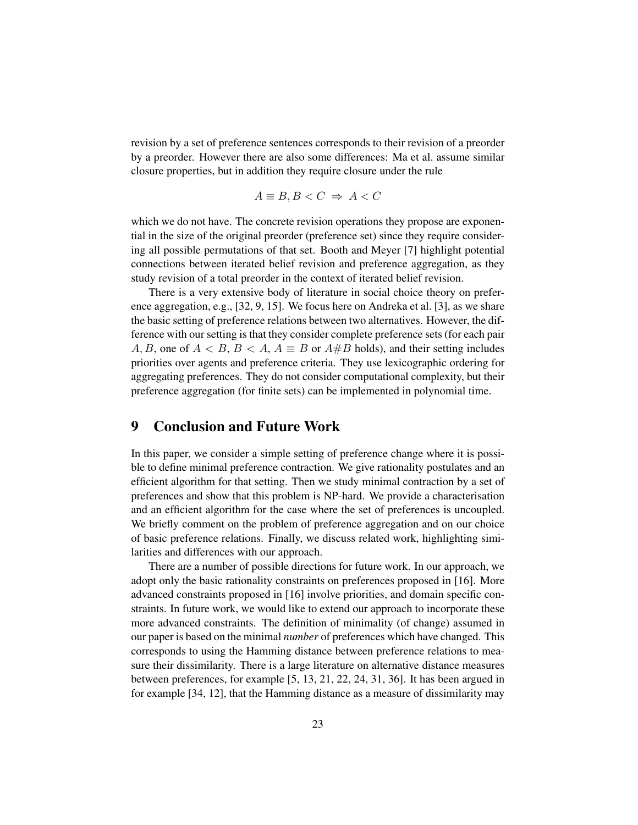revision by a set of preference sentences corresponds to their revision of a preorder by a preorder. However there are also some differences: Ma et al. assume similar closure properties, but in addition they require closure under the rule

$$
A \equiv B, B < C \Rightarrow A < C
$$

which we do not have. The concrete revision operations they propose are exponential in the size of the original preorder (preference set) since they require considering all possible permutations of that set. Booth and Meyer [7] highlight potential connections between iterated belief revision and preference aggregation, as they study revision of a total preorder in the context of iterated belief revision.

There is a very extensive body of literature in social choice theory on preference aggregation, e.g., [32, 9, 15]. We focus here on Andreka et al. [3], as we share the basic setting of preference relations between two alternatives. However, the difference with our setting is that they consider complete preference sets (for each pair A, B, one of  $A \leq B$ ,  $B \leq A$ ,  $A \equiv B$  or  $A \# B$  holds), and their setting includes priorities over agents and preference criteria. They use lexicographic ordering for aggregating preferences. They do not consider computational complexity, but their preference aggregation (for finite sets) can be implemented in polynomial time.

# 9 Conclusion and Future Work

In this paper, we consider a simple setting of preference change where it is possible to define minimal preference contraction. We give rationality postulates and an efficient algorithm for that setting. Then we study minimal contraction by a set of preferences and show that this problem is NP-hard. We provide a characterisation and an efficient algorithm for the case where the set of preferences is uncoupled. We briefly comment on the problem of preference aggregation and on our choice of basic preference relations. Finally, we discuss related work, highlighting similarities and differences with our approach.

There are a number of possible directions for future work. In our approach, we adopt only the basic rationality constraints on preferences proposed in [16]. More advanced constraints proposed in [16] involve priorities, and domain specific constraints. In future work, we would like to extend our approach to incorporate these more advanced constraints. The definition of minimality (of change) assumed in our paper is based on the minimal *number* of preferences which have changed. This corresponds to using the Hamming distance between preference relations to measure their dissimilarity. There is a large literature on alternative distance measures between preferences, for example [5, 13, 21, 22, 24, 31, 36]. It has been argued in for example [34, 12], that the Hamming distance as a measure of dissimilarity may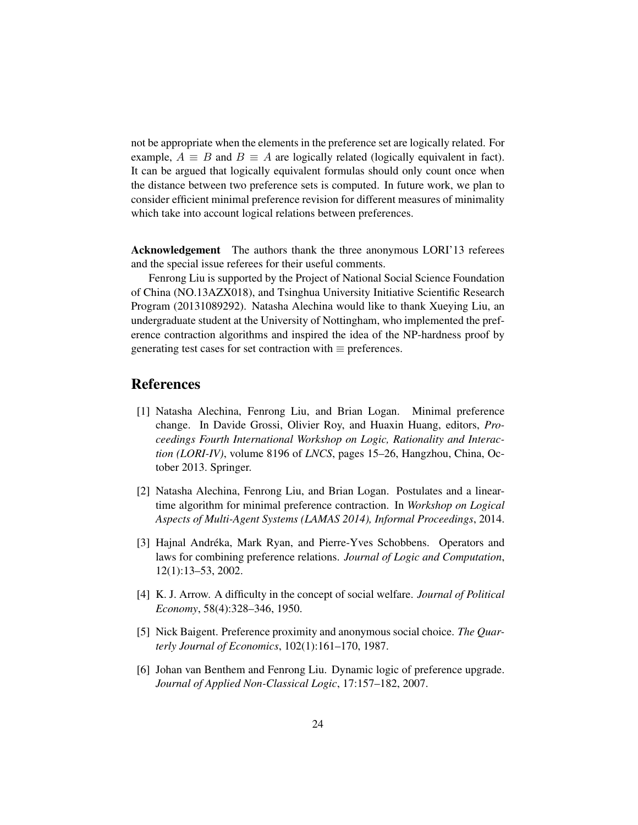not be appropriate when the elements in the preference set are logically related. For example,  $A \equiv B$  and  $B \equiv A$  are logically related (logically equivalent in fact). It can be argued that logically equivalent formulas should only count once when the distance between two preference sets is computed. In future work, we plan to consider efficient minimal preference revision for different measures of minimality which take into account logical relations between preferences.

Acknowledgement The authors thank the three anonymous LORI'13 referees and the special issue referees for their useful comments.

Fenrong Liu is supported by the Project of National Social Science Foundation of China (NO.13AZX018), and Tsinghua University Initiative Scientific Research Program (20131089292). Natasha Alechina would like to thank Xueying Liu, an undergraduate student at the University of Nottingham, who implemented the preference contraction algorithms and inspired the idea of the NP-hardness proof by generating test cases for set contraction with  $\equiv$  preferences.

# References

- [1] Natasha Alechina, Fenrong Liu, and Brian Logan. Minimal preference change. In Davide Grossi, Olivier Roy, and Huaxin Huang, editors, *Proceedings Fourth International Workshop on Logic, Rationality and Interaction (LORI-IV)*, volume 8196 of *LNCS*, pages 15–26, Hangzhou, China, October 2013. Springer.
- [2] Natasha Alechina, Fenrong Liu, and Brian Logan. Postulates and a lineartime algorithm for minimal preference contraction. In *Workshop on Logical Aspects of Multi-Agent Systems (LAMAS 2014), Informal Proceedings*, 2014.
- [3] Hajnal Andréka, Mark Ryan, and Pierre-Yves Schobbens. Operators and laws for combining preference relations. *Journal of Logic and Computation*, 12(1):13–53, 2002.
- [4] K. J. Arrow. A difficulty in the concept of social welfare. *Journal of Political Economy*, 58(4):328–346, 1950.
- [5] Nick Baigent. Preference proximity and anonymous social choice. *The Quarterly Journal of Economics*, 102(1):161–170, 1987.
- [6] Johan van Benthem and Fenrong Liu. Dynamic logic of preference upgrade. *Journal of Applied Non-Classical Logic*, 17:157–182, 2007.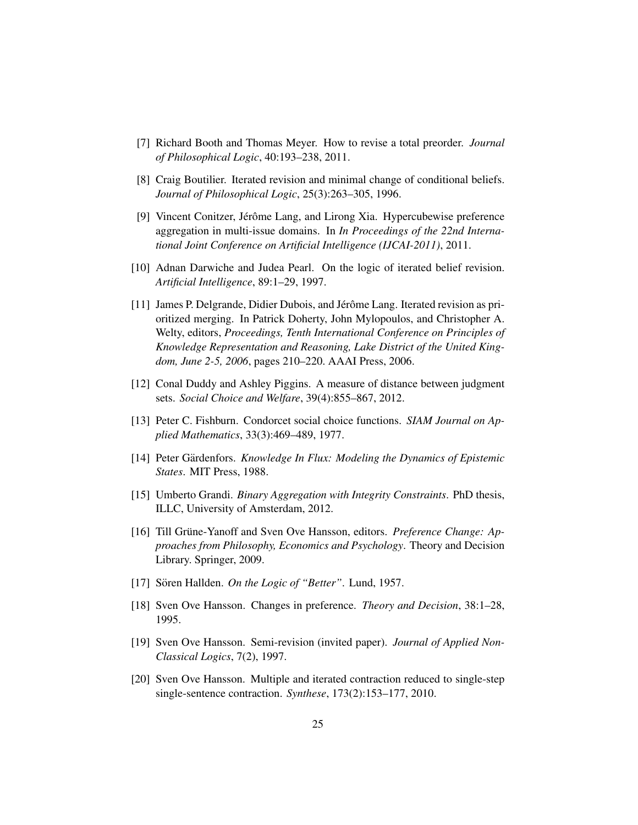- [7] Richard Booth and Thomas Meyer. How to revise a total preorder. *Journal of Philosophical Logic*, 40:193–238, 2011.
- [8] Craig Boutilier. Iterated revision and minimal change of conditional beliefs. *Journal of Philosophical Logic*, 25(3):263–305, 1996.
- [9] Vincent Conitzer, Jérôme Lang, and Lirong Xia. Hypercubewise preference aggregation in multi-issue domains. In *In Proceedings of the 22nd International Joint Conference on Artificial Intelligence (IJCAI-2011)*, 2011.
- [10] Adnan Darwiche and Judea Pearl. On the logic of iterated belief revision. *Artificial Intelligence*, 89:1–29, 1997.
- [11] James P. Delgrande, Didier Dubois, and Jérôme Lang. Iterated revision as prioritized merging. In Patrick Doherty, John Mylopoulos, and Christopher A. Welty, editors, *Proceedings, Tenth International Conference on Principles of Knowledge Representation and Reasoning, Lake District of the United Kingdom, June 2-5, 2006*, pages 210–220. AAAI Press, 2006.
- [12] Conal Duddy and Ashley Piggins. A measure of distance between judgment sets. *Social Choice and Welfare*, 39(4):855–867, 2012.
- [13] Peter C. Fishburn. Condorcet social choice functions. *SIAM Journal on Applied Mathematics*, 33(3):469–489, 1977.
- [14] Peter Gärdenfors. *Knowledge In Flux: Modeling the Dynamics of Epistemic States*. MIT Press, 1988.
- [15] Umberto Grandi. *Binary Aggregation with Integrity Constraints*. PhD thesis, ILLC, University of Amsterdam, 2012.
- [16] Till Grüne-Yanoff and Sven Ove Hansson, editors. *Preference Change: Approaches from Philosophy, Economics and Psychology*. Theory and Decision Library. Springer, 2009.
- [17] Sören Hallden. On the Logic of "Better". Lund, 1957.
- [18] Sven Ove Hansson. Changes in preference. *Theory and Decision*, 38:1–28, 1995.
- [19] Sven Ove Hansson. Semi-revision (invited paper). *Journal of Applied Non-Classical Logics*, 7(2), 1997.
- [20] Sven Ove Hansson. Multiple and iterated contraction reduced to single-step single-sentence contraction. *Synthese*, 173(2):153–177, 2010.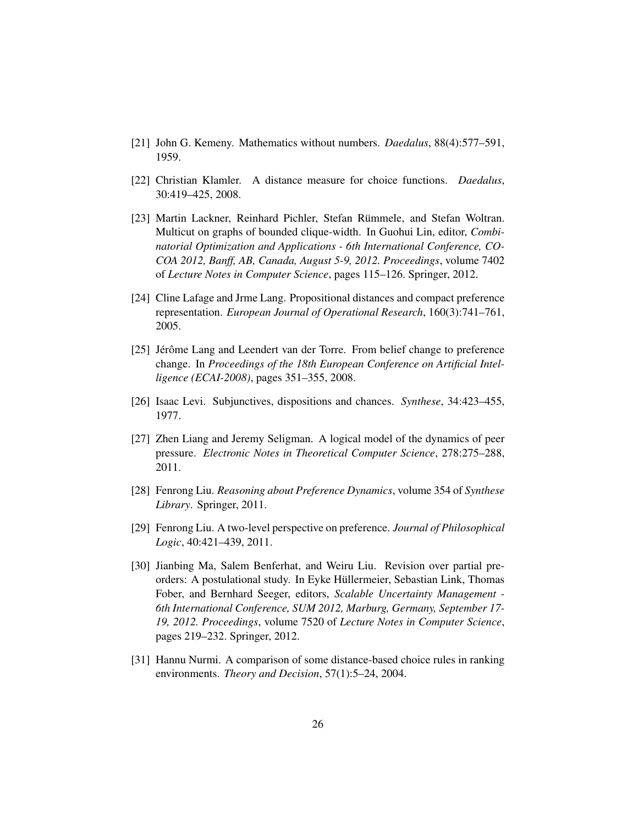- [21] John G. Kemeny. Mathematics without numbers. *Daedalus*, 88(4):577–591, 1959.
- [22] Christian Klamler. A distance measure for choice functions. *Daedalus*, 30:419–425, 2008.
- [23] Martin Lackner, Reinhard Pichler, Stefan Rümmele, and Stefan Woltran. Multicut on graphs of bounded clique-width. In Guohui Lin, editor, *Combinatorial Optimization and Applications - 6th International Conference, CO-COA 2012, Banff, AB, Canada, August 5-9, 2012. Proceedings*, volume 7402 of *Lecture Notes in Computer Science*, pages 115–126. Springer, 2012.
- [24] Cline Lafage and Jrme Lang. Propositional distances and compact preference representation. *European Journal of Operational Research*, 160(3):741–761, 2005.
- [25] Jérôme Lang and Leendert van der Torre. From belief change to preference change. In *Proceedings of the 18th European Conference on Artificial Intelligence (ECAI-2008)*, pages 351–355, 2008.
- [26] Isaac Levi. Subjunctives, dispositions and chances. *Synthese*, 34:423–455, 1977.
- [27] Zhen Liang and Jeremy Seligman. A logical model of the dynamics of peer pressure. *Electronic Notes in Theoretical Computer Science*, 278:275–288, 2011.
- [28] Fenrong Liu. *Reasoning about Preference Dynamics*, volume 354 of *Synthese Library*. Springer, 2011.
- [29] Fenrong Liu. A two-level perspective on preference. *Journal of Philosophical Logic*, 40:421–439, 2011.
- [30] Jianbing Ma, Salem Benferhat, and Weiru Liu. Revision over partial preorders: A postulational study. In Eyke Hullermeier, Sebastian Link, Thomas ¨ Fober, and Bernhard Seeger, editors, *Scalable Uncertainty Management - 6th International Conference, SUM 2012, Marburg, Germany, September 17- 19, 2012. Proceedings*, volume 7520 of *Lecture Notes in Computer Science*, pages 219–232. Springer, 2012.
- [31] Hannu Nurmi. A comparison of some distance-based choice rules in ranking environments. *Theory and Decision*, 57(1):5–24, 2004.